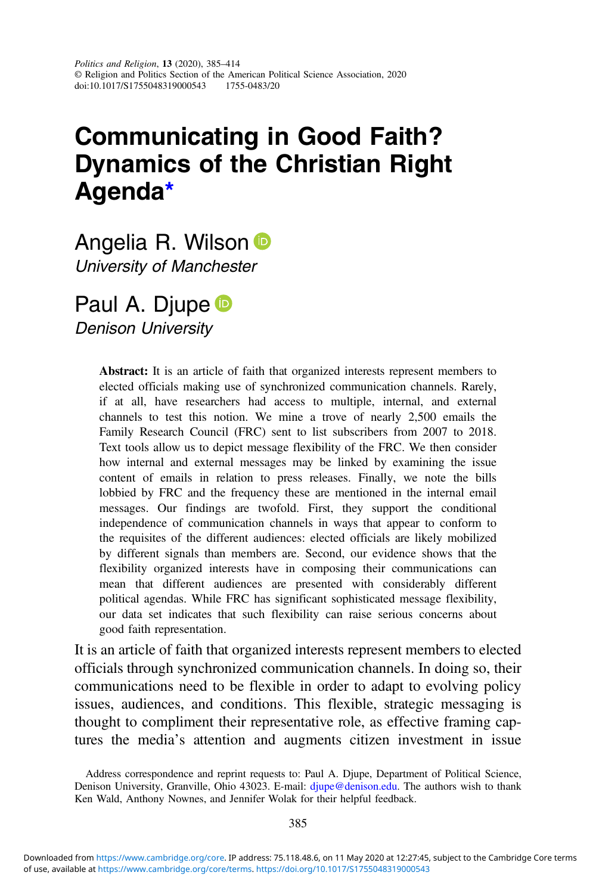# Communicating in Good Faith? Dynamics of the Christian Right Agend[a\\*](#page-24-0)

Angelia R. Wilson University of Manchester

Paul A. Denison University

Abstract: It is an article of faith that organized interests represent members to elected officials making use of synchronized communication channels. Rarely, if at all, have researchers had access to multiple, internal, and external channels to test this notion. We mine a trove of nearly 2,500 emails the Family Research Council (FRC) sent to list subscribers from 2007 to 2018. Text tools allow us to depict message flexibility of the FRC. We then consider how internal and external messages may be linked by examining the issue content of emails in relation to press releases. Finally, we note the bills lobbied by FRC and the frequency these are mentioned in the internal email messages. Our findings are twofold. First, they support the conditional independence of communication channels in ways that appear to conform to the requisites of the different audiences: elected officials are likely mobilized by different signals than members are. Second, our evidence shows that the flexibility organized interests have in composing their communications can mean that different audiences are presented with considerably different political agendas. While FRC has significant sophisticated message flexibility, our data set indicates that such flexibility can raise serious concerns about good faith representation.

It is an article of faith that organized interests represent members to elected officials through synchronized communication channels. In doing so, their communications need to be flexible in order to adapt to evolving policy issues, audiences, and conditions. This flexible, strategic messaging is thought to compliment their representative role, as effective framing captures the media's attention and augments citizen investment in issue

Address correspondence and reprint requests to: Paul A. Djupe, Department of Political Science, Denison University, Granville, Ohio 43023. E-mail: [djupe@denison.edu.](mailto:djupe@denison.edu) The authors wish to thank Ken Wald, Anthony Nownes, and Jennifer Wolak for their helpful feedback.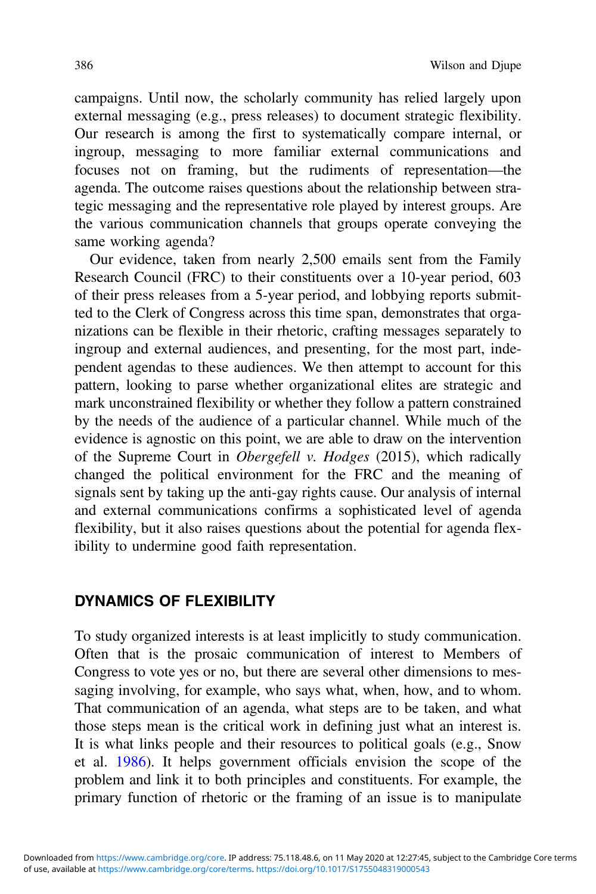campaigns. Until now, the scholarly community has relied largely upon external messaging (e.g., press releases) to document strategic flexibility. Our research is among the first to systematically compare internal, or ingroup, messaging to more familiar external communications and focuses not on framing, but the rudiments of representation—the agenda. The outcome raises questions about the relationship between strategic messaging and the representative role played by interest groups. Are the various communication channels that groups operate conveying the same working agenda?

Our evidence, taken from nearly 2,500 emails sent from the Family Research Council (FRC) to their constituents over a 10-year period, 603 of their press releases from a 5-year period, and lobbying reports submitted to the Clerk of Congress across this time span, demonstrates that organizations can be flexible in their rhetoric, crafting messages separately to ingroup and external audiences, and presenting, for the most part, independent agendas to these audiences. We then attempt to account for this pattern, looking to parse whether organizational elites are strategic and mark unconstrained flexibility or whether they follow a pattern constrained by the needs of the audience of a particular channel. While much of the evidence is agnostic on this point, we are able to draw on the intervention of the Supreme Court in Obergefell v. Hodges (2015), which radically changed the political environment for the FRC and the meaning of signals sent by taking up the anti-gay rights cause. Our analysis of internal and external communications confirms a sophisticated level of agenda flexibility, but it also raises questions about the potential for agenda flexibility to undermine good faith representation.

# DYNAMICS OF FLEXIBILITY

To study organized interests is at least implicitly to study communication. Often that is the prosaic communication of interest to Members of Congress to vote yes or no, but there are several other dimensions to messaging involving, for example, who says what, when, how, and to whom. That communication of an agenda, what steps are to be taken, and what those steps mean is the critical work in defining just what an interest is. It is what links people and their resources to political goals (e.g., Snow et al. [1986\)](#page-29-0). It helps government officials envision the scope of the problem and link it to both principles and constituents. For example, the primary function of rhetoric or the framing of an issue is to manipulate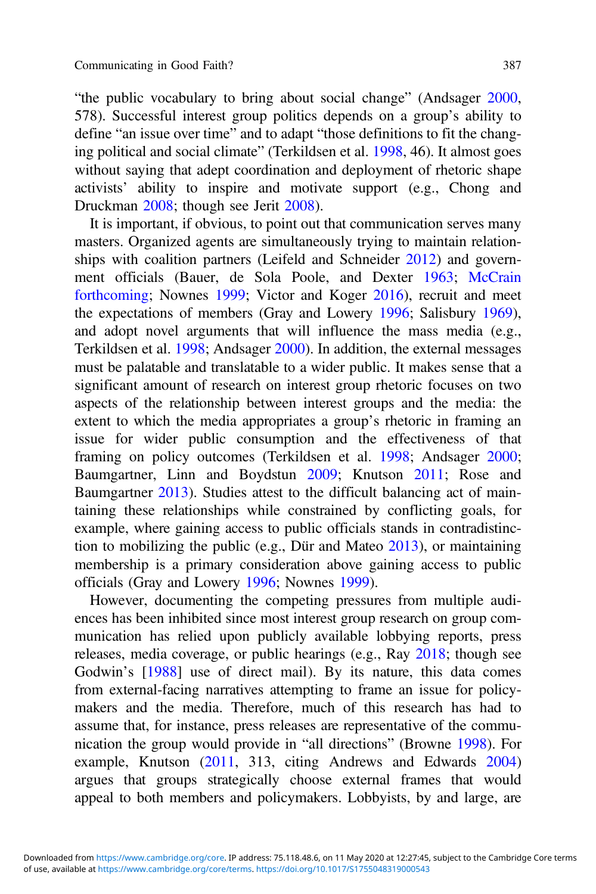"the public vocabulary to bring about social change" (Andsager [2000](#page-25-0), 578). Successful interest group politics depends on a group's ability to define "an issue over time" and to adapt "those definitions to fit the changing political and social climate" (Terkildsen et al. [1998](#page-29-0), 46). It almost goes without saying that adept coordination and deployment of rhetoric shape activists' ability to inspire and motivate support (e.g., Chong and Druckman [2008;](#page-26-0) though see Jerit [2008](#page-27-0)).

It is important, if obvious, to point out that communication serves many masters. Organized agents are simultaneously trying to maintain relationships with coalition partners (Leifeld and Schneider [2012](#page-27-0)) and government officials (Bauer, de Sola Poole, and Dexter [1963;](#page-25-0) [McCrain](#page-28-0) [forthcoming;](#page-28-0) Nownes [1999;](#page-28-0) Victor and Koger [2016\)](#page-29-0), recruit and meet the expectations of members (Gray and Lowery [1996;](#page-26-0) Salisbury [1969\)](#page-29-0), and adopt novel arguments that will influence the mass media (e.g., Terkildsen et al. [1998;](#page-29-0) Andsager [2000](#page-25-0)). In addition, the external messages must be palatable and translatable to a wider public. It makes sense that a significant amount of research on interest group rhetoric focuses on two aspects of the relationship between interest groups and the media: the extent to which the media appropriates a group's rhetoric in framing an issue for wider public consumption and the effectiveness of that framing on policy outcomes (Terkildsen et al. [1998](#page-29-0); Andsager [2000](#page-25-0); Baumgartner, Linn and Boydstun [2009;](#page-25-0) Knutson [2011](#page-27-0); Rose and Baumgartner [2013\)](#page-28-0). Studies attest to the difficult balancing act of maintaining these relationships while constrained by conflicting goals, for example, where gaining access to public officials stands in contradistinction to mobilizing the public (e.g., Dür and Mateo  $2013$ ), or maintaining membership is a primary consideration above gaining access to public officials (Gray and Lowery [1996;](#page-26-0) Nownes [1999\)](#page-28-0).

However, documenting the competing pressures from multiple audiences has been inhibited since most interest group research on group communication has relied upon publicly available lobbying reports, press releases, media coverage, or public hearings (e.g., Ray [2018](#page-28-0); though see Godwin's [\[1988](#page-26-0)] use of direct mail). By its nature, this data comes from external-facing narratives attempting to frame an issue for policymakers and the media. Therefore, much of this research has had to assume that, for instance, press releases are representative of the communication the group would provide in "all directions" (Browne [1998](#page-26-0)). For example, Knutson [\(2011](#page-27-0), 313, citing Andrews and Edwards [2004](#page-25-0)) argues that groups strategically choose external frames that would appeal to both members and policymakers. Lobbyists, by and large, are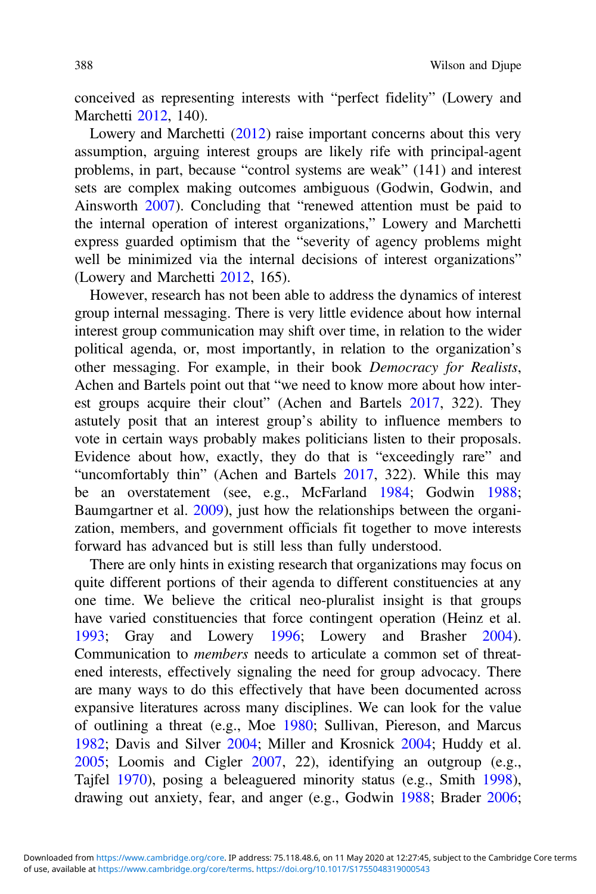conceived as representing interests with "perfect fidelity" (Lowery and Marchetti [2012,](#page-28-0) 140).

Lowery and Marchetti ([2012\)](#page-28-0) raise important concerns about this very assumption, arguing interest groups are likely rife with principal-agent problems, in part, because "control systems are weak" (141) and interest sets are complex making outcomes ambiguous (Godwin, Godwin, and Ainsworth [2007](#page-26-0)). Concluding that "renewed attention must be paid to the internal operation of interest organizations," Lowery and Marchetti express guarded optimism that the "severity of agency problems might well be minimized via the internal decisions of interest organizations" (Lowery and Marchetti [2012,](#page-28-0) 165).

However, research has not been able to address the dynamics of interest group internal messaging. There is very little evidence about how internal interest group communication may shift over time, in relation to the wider political agenda, or, most importantly, in relation to the organization's other messaging. For example, in their book Democracy for Realists, Achen and Bartels point out that "we need to know more about how interest groups acquire their clout" (Achen and Bartels [2017,](#page-25-0) 322). They astutely posit that an interest group's ability to influence members to vote in certain ways probably makes politicians listen to their proposals. Evidence about how, exactly, they do that is "exceedingly rare" and "uncomfortably thin" (Achen and Bartels [2017](#page-25-0), 322). While this may be an overstatement (see, e.g., McFarland [1984;](#page-28-0) Godwin [1988](#page-26-0); Baumgartner et al. [2009](#page-25-0)), just how the relationships between the organization, members, and government officials fit together to move interests forward has advanced but is still less than fully understood.

There are only hints in existing research that organizations may focus on quite different portions of their agenda to different constituencies at any one time. We believe the critical neo-pluralist insight is that groups have varied constituencies that force contingent operation (Heinz et al. [1993](#page-27-0); Gray and Lowery [1996;](#page-26-0) Lowery and Brasher [2004\)](#page-28-0). Communication to members needs to articulate a common set of threatened interests, effectively signaling the need for group advocacy. There are many ways to do this effectively that have been documented across expansive literatures across many disciplines. We can look for the value of outlining a threat (e.g., Moe [1980;](#page-28-0) Sullivan, Piereson, and Marcus [1982](#page-29-0); Davis and Silver [2004;](#page-26-0) Miller and Krosnick [2004;](#page-28-0) Huddy et al. [2005](#page-27-0); Loomis and Cigler [2007](#page-28-0), 22), identifying an outgroup (e.g., Tajfel [1970\)](#page-29-0), posing a beleaguered minority status (e.g., Smith [1998\)](#page-29-0), drawing out anxiety, fear, and anger (e.g., Godwin [1988;](#page-26-0) Brader [2006](#page-25-0);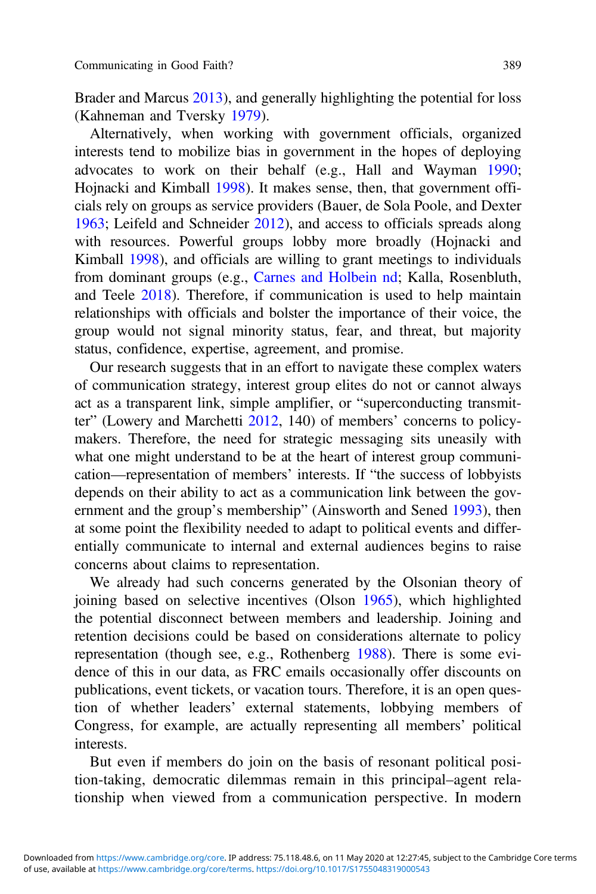Brader and Marcus [2013\)](#page-25-0), and generally highlighting the potential for loss (Kahneman and Tversky [1979](#page-27-0)).

Alternatively, when working with government officials, organized interests tend to mobilize bias in government in the hopes of deploying advocates to work on their behalf (e.g., Hall and Wayman [1990](#page-27-0); Hojnacki and Kimball [1998\)](#page-27-0). It makes sense, then, that government officials rely on groups as service providers (Bauer, de Sola Poole, and Dexter [1963](#page-25-0); Leifeld and Schneider [2012](#page-27-0)), and access to officials spreads along with resources. Powerful groups lobby more broadly (Hojnacki and Kimball [1998](#page-27-0)), and officials are willing to grant meetings to individuals from dominant groups (e.g., [Carnes and Holbein nd](#page-26-0); Kalla, Rosenbluth, and Teele [2018](#page-27-0)). Therefore, if communication is used to help maintain relationships with officials and bolster the importance of their voice, the group would not signal minority status, fear, and threat, but majority status, confidence, expertise, agreement, and promise.

Our research suggests that in an effort to navigate these complex waters of communication strategy, interest group elites do not or cannot always act as a transparent link, simple amplifier, or "superconducting transmitter" (Lowery and Marchetti [2012,](#page-28-0) 140) of members' concerns to policymakers. Therefore, the need for strategic messaging sits uneasily with what one might understand to be at the heart of interest group communication—representation of members' interests. If "the success of lobbyists depends on their ability to act as a communication link between the government and the group's membership" (Ainsworth and Sened [1993\)](#page-25-0), then at some point the flexibility needed to adapt to political events and differentially communicate to internal and external audiences begins to raise concerns about claims to representation.

We already had such concerns generated by the Olsonian theory of joining based on selective incentives (Olson [1965\)](#page-28-0), which highlighted the potential disconnect between members and leadership. Joining and retention decisions could be based on considerations alternate to policy representation (though see, e.g., Rothenberg [1988\)](#page-28-0). There is some evidence of this in our data, as FRC emails occasionally offer discounts on publications, event tickets, or vacation tours. Therefore, it is an open question of whether leaders' external statements, lobbying members of Congress, for example, are actually representing all members' political interests.

But even if members do join on the basis of resonant political position-taking, democratic dilemmas remain in this principal–agent relationship when viewed from a communication perspective. In modern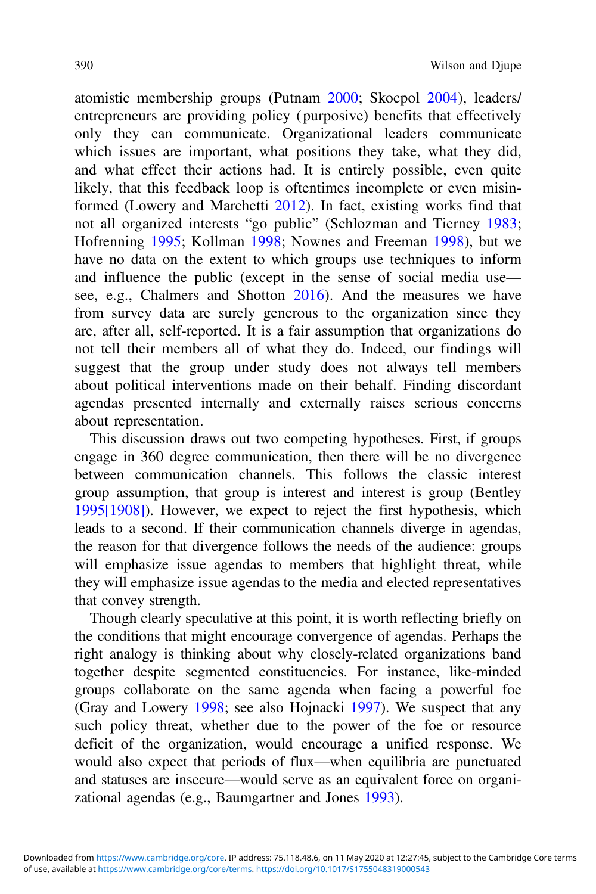atomistic membership groups (Putnam [2000;](#page-28-0) Skocpol [2004\)](#page-29-0), leaders/ entrepreneurs are providing policy ( purposive) benefits that effectively only they can communicate. Organizational leaders communicate which issues are important, what positions they take, what they did, and what effect their actions had. It is entirely possible, even quite likely, that this feedback loop is oftentimes incomplete or even misinformed (Lowery and Marchetti [2012\)](#page-28-0). In fact, existing works find that not all organized interests "go public" (Schlozman and Tierney [1983](#page-29-0); Hofrenning [1995;](#page-27-0) Kollman [1998;](#page-27-0) Nownes and Freeman [1998\)](#page-28-0), but we have no data on the extent to which groups use techniques to inform and influence the public (except in the sense of social media use see, e.g., Chalmers and Shotton [2016](#page-26-0)). And the measures we have from survey data are surely generous to the organization since they are, after all, self-reported. It is a fair assumption that organizations do not tell their members all of what they do. Indeed, our findings will suggest that the group under study does not always tell members about political interventions made on their behalf. Finding discordant agendas presented internally and externally raises serious concerns about representation.

This discussion draws out two competing hypotheses. First, if groups engage in 360 degree communication, then there will be no divergence between communication channels. This follows the classic interest group assumption, that group is interest and interest is group (Bentley [1995\[1908\]](#page-25-0)). However, we expect to reject the first hypothesis, which leads to a second. If their communication channels diverge in agendas, the reason for that divergence follows the needs of the audience: groups will emphasize issue agendas to members that highlight threat, while they will emphasize issue agendas to the media and elected representatives that convey strength.

Though clearly speculative at this point, it is worth reflecting briefly on the conditions that might encourage convergence of agendas. Perhaps the right analogy is thinking about why closely-related organizations band together despite segmented constituencies. For instance, like-minded groups collaborate on the same agenda when facing a powerful foe (Gray and Lowery [1998;](#page-26-0) see also Hojnacki [1997\)](#page-27-0). We suspect that any such policy threat, whether due to the power of the foe or resource deficit of the organization, would encourage a unified response. We would also expect that periods of flux—when equilibria are punctuated and statuses are insecure—would serve as an equivalent force on organizational agendas (e.g., Baumgartner and Jones [1993](#page-25-0)).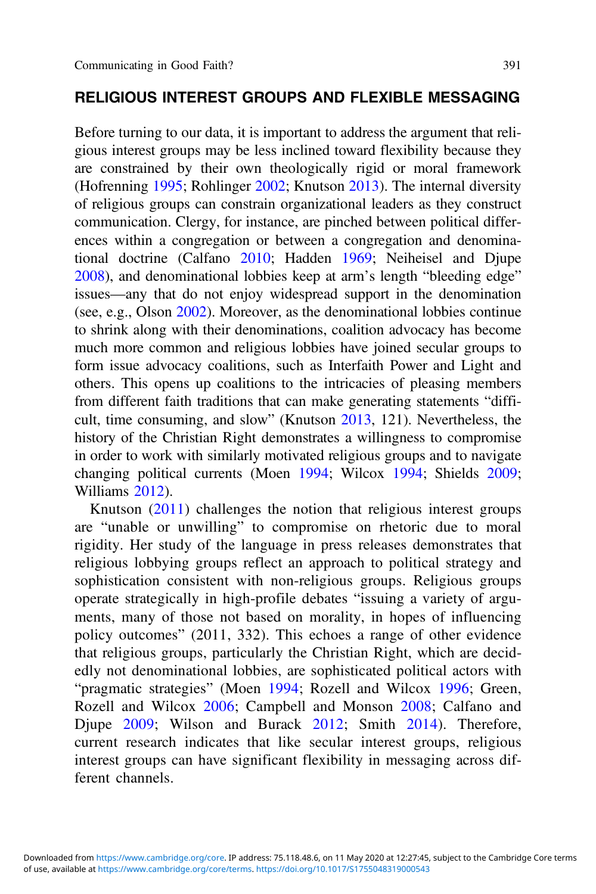### RELIGIOUS INTEREST GROUPS AND FLEXIBLE MESSAGING

Before turning to our data, it is important to address the argument that religious interest groups may be less inclined toward flexibility because they are constrained by their own theologically rigid or moral framework (Hofrenning [1995;](#page-27-0) Rohlinger [2002;](#page-28-0) Knutson [2013\)](#page-27-0). The internal diversity of religious groups can constrain organizational leaders as they construct communication. Clergy, for instance, are pinched between political differences within a congregation or between a congregation and denominational doctrine (Calfano [2010](#page-26-0); Hadden [1969;](#page-27-0) Neiheisel and Djupe [2008](#page-28-0)), and denominational lobbies keep at arm's length "bleeding edge" issues—any that do not enjoy widespread support in the denomination (see, e.g., Olson [2002\)](#page-28-0). Moreover, as the denominational lobbies continue to shrink along with their denominations, coalition advocacy has become much more common and religious lobbies have joined secular groups to form issue advocacy coalitions, such as Interfaith Power and Light and others. This opens up coalitions to the intricacies of pleasing members from different faith traditions that can make generating statements "difficult, time consuming, and slow" (Knutson [2013](#page-27-0), 121). Nevertheless, the history of the Christian Right demonstrates a willingness to compromise in order to work with similarly motivated religious groups and to navigate changing political currents (Moen [1994](#page-28-0); Wilcox [1994;](#page-29-0) Shields [2009](#page-29-0); Williams [2012](#page-29-0)).

Knutson [\(2011\)](#page-27-0) challenges the notion that religious interest groups are "unable or unwilling" to compromise on rhetoric due to moral rigidity. Her study of the language in press releases demonstrates that religious lobbying groups reflect an approach to political strategy and sophistication consistent with non-religious groups. Religious groups operate strategically in high-profile debates "issuing a variety of arguments, many of those not based on morality, in hopes of influencing policy outcomes" (2011, 332). This echoes a range of other evidence that religious groups, particularly the Christian Right, which are decidedly not denominational lobbies, are sophisticated political actors with "pragmatic strategies" (Moen [1994;](#page-28-0) Rozell and Wilcox [1996](#page-29-0); Green, Rozell and Wilcox [2006](#page-27-0); Campbell and Monson [2008;](#page-26-0) Calfano and Djupe [2009;](#page-26-0) Wilson and Burack [2012](#page-29-0); Smith [2014](#page-29-0)). Therefore, current research indicates that like secular interest groups, religious interest groups can have significant flexibility in messaging across different channels.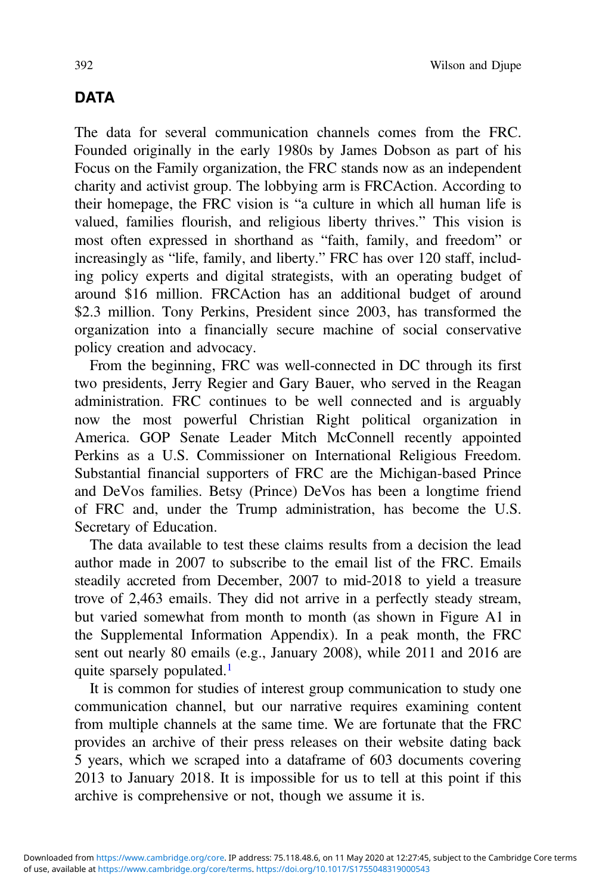# **DATA**

The data for several communication channels comes from the FRC. Founded originally in the early 1980s by James Dobson as part of his Focus on the Family organization, the FRC stands now as an independent charity and activist group. The lobbying arm is FRCAction. According to their homepage, the FRC vision is "a culture in which all human life is valued, families flourish, and religious liberty thrives." This vision is most often expressed in shorthand as "faith, family, and freedom" or increasingly as "life, family, and liberty." FRC has over 120 staff, including policy experts and digital strategists, with an operating budget of around \$16 million. FRCAction has an additional budget of around \$2.3 million. Tony Perkins, President since 2003, has transformed the organization into a financially secure machine of social conservative policy creation and advocacy.

From the beginning, FRC was well-connected in DC through its first two presidents, Jerry Regier and Gary Bauer, who served in the Reagan administration. FRC continues to be well connected and is arguably now the most powerful Christian Right political organization in America. GOP Senate Leader Mitch McConnell recently appointed Perkins as a U.S. Commissioner on International Religious Freedom. Substantial financial supporters of FRC are the Michigan-based Prince and DeVos families. Betsy (Prince) DeVos has been a longtime friend of FRC and, under the Trump administration, has become the U.S. Secretary of Education.

The data available to test these claims results from a decision the lead author made in 2007 to subscribe to the email list of the FRC. Emails steadily accreted from December, 2007 to mid-2018 to yield a treasure trove of 2,463 emails. They did not arrive in a perfectly steady stream, but varied somewhat from month to month (as shown in Figure A1 in the Supplemental Information Appendix). In a peak month, the FRC sent out nearly 80 emails (e.g., January 2008), while 2011 and 2016 are quite sparsely populated.<sup>[1](#page-24-0)</sup>

It is common for studies of interest group communication to study one communication channel, but our narrative requires examining content from multiple channels at the same time. We are fortunate that the FRC provides an archive of their press releases on their website dating back 5 years, which we scraped into a dataframe of 603 documents covering 2013 to January 2018. It is impossible for us to tell at this point if this archive is comprehensive or not, though we assume it is.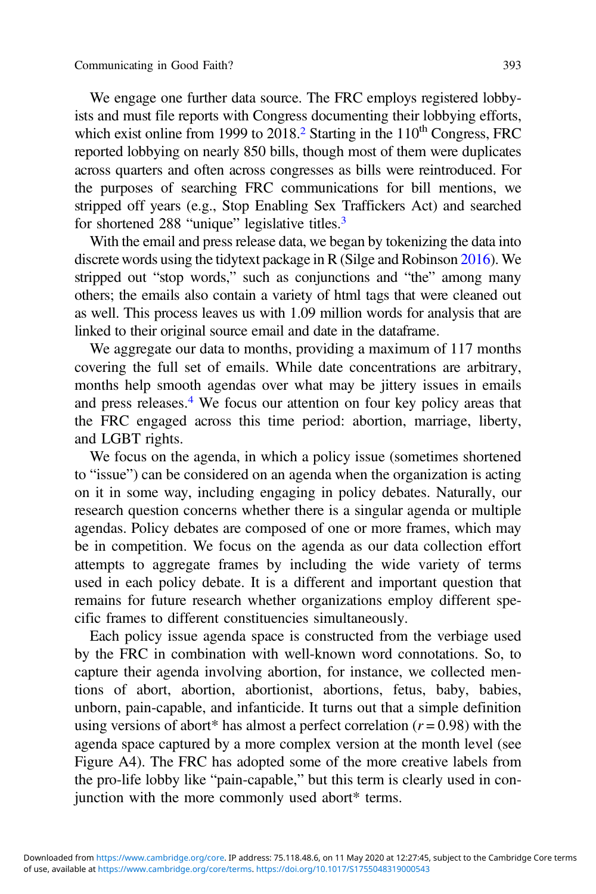We engage one further data source. The FRC employs registered lobbyists and must file reports with Congress documenting their lobbying efforts, which exist online from 1999 to  $2018<sup>2</sup>$  $2018<sup>2</sup>$  Starting in the  $110<sup>th</sup>$  Congress, FRC reported lobbying on nearly 850 bills, though most of them were duplicates across quarters and often across congresses as bills were reintroduced. For the purposes of searching FRC communications for bill mentions, we stripped off years (e.g., Stop Enabling Sex Traffickers Act) and searched for shortened 288 "unique" legislative titles.<sup>3</sup>

With the email and press release data, we began by tokenizing the data into discrete words using the tidytext package in R (Silge and Robinson [2016](#page-29-0)). We stripped out "stop words," such as conjunctions and "the" among many others; the emails also contain a variety of html tags that were cleaned out as well. This process leaves us with 1.09 million words for analysis that are linked to their original source email and date in the dataframe.

We aggregate our data to months, providing a maximum of 117 months covering the full set of emails. While date concentrations are arbitrary, months help smooth agendas over what may be jittery issues in emails and press releases.<sup>[4](#page-25-0)</sup> We focus our attention on four key policy areas that the FRC engaged across this time period: abortion, marriage, liberty, and LGBT rights.

We focus on the agenda, in which a policy issue (sometimes shortened to "issue") can be considered on an agenda when the organization is acting on it in some way, including engaging in policy debates. Naturally, our research question concerns whether there is a singular agenda or multiple agendas. Policy debates are composed of one or more frames, which may be in competition. We focus on the agenda as our data collection effort attempts to aggregate frames by including the wide variety of terms used in each policy debate. It is a different and important question that remains for future research whether organizations employ different specific frames to different constituencies simultaneously.

Each policy issue agenda space is constructed from the verbiage used by the FRC in combination with well-known word connotations. So, to capture their agenda involving abortion, for instance, we collected mentions of abort, abortion, abortionist, abortions, fetus, baby, babies, unborn, pain-capable, and infanticide. It turns out that a simple definition using versions of abort\* has almost a perfect correlation  $(r = 0.98)$  with the agenda space captured by a more complex version at the month level (see Figure A4). The FRC has adopted some of the more creative labels from the pro-life lobby like "pain-capable," but this term is clearly used in conjunction with the more commonly used abort\* terms.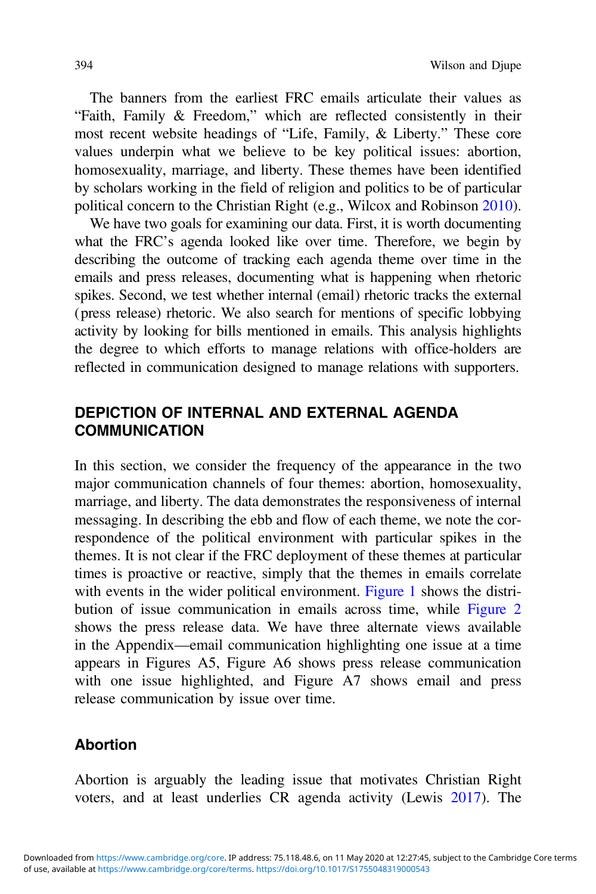The banners from the earliest FRC emails articulate their values as "Faith, Family & Freedom," which are reflected consistently in their most recent website headings of "Life, Family, & Liberty." These core values underpin what we believe to be key political issues: abortion, homosexuality, marriage, and liberty. These themes have been identified by scholars working in the field of religion and politics to be of particular political concern to the Christian Right (e.g., Wilcox and Robinson [2010\)](#page-29-0).

We have two goals for examining our data. First, it is worth documenting what the FRC's agenda looked like over time. Therefore, we begin by describing the outcome of tracking each agenda theme over time in the emails and press releases, documenting what is happening when rhetoric spikes. Second, we test whether internal (email) rhetoric tracks the external (press release) rhetoric. We also search for mentions of specific lobbying activity by looking for bills mentioned in emails. This analysis highlights the degree to which efforts to manage relations with office-holders are reflected in communication designed to manage relations with supporters.

# DEPICTION OF INTERNAL AND EXTERNAL AGENDA **COMMUNICATION**

In this section, we consider the frequency of the appearance in the two major communication channels of four themes: abortion, homosexuality, marriage, and liberty. The data demonstrates the responsiveness of internal messaging. In describing the ebb and flow of each theme, we note the correspondence of the political environment with particular spikes in the themes. It is not clear if the FRC deployment of these themes at particular times is proactive or reactive, simply that the themes in emails correlate with events in the wider political environment. [Figure 1](#page-10-0) shows the distribution of issue communication in emails across time, while [Figure 2](#page-10-0) shows the press release data. We have three alternate views available in the Appendix—email communication highlighting one issue at a time appears in Figures A5, Figure A6 shows press release communication with one issue highlighted, and Figure A7 shows email and press release communication by issue over time.

# Abortion

Abortion is arguably the leading issue that motivates Christian Right voters, and at least underlies CR agenda activity (Lewis [2017\)](#page-27-0). The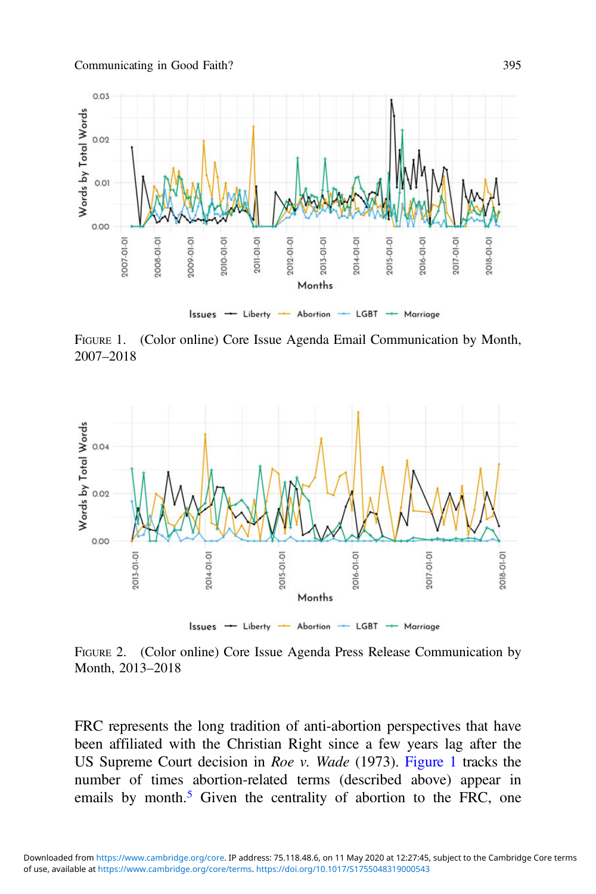<span id="page-10-0"></span>

Issues - Liberty - Abortion - LGBT - Marriage

FIGURE 1. (Color online) Core Issue Agenda Email Communication by Month, 2007–2018



FIGURE 2. (Color online) Core Issue Agenda Press Release Communication by Month, 2013–2018

FRC represents the long tradition of anti-abortion perspectives that have been affiliated with the Christian Right since a few years lag after the US Supreme Court decision in Roe v. Wade (1973). Figure 1 tracks the number of times abortion-related terms (described above) appear in emails by month.<sup>[5](#page-25-0)</sup> Given the centrality of abortion to the FRC, one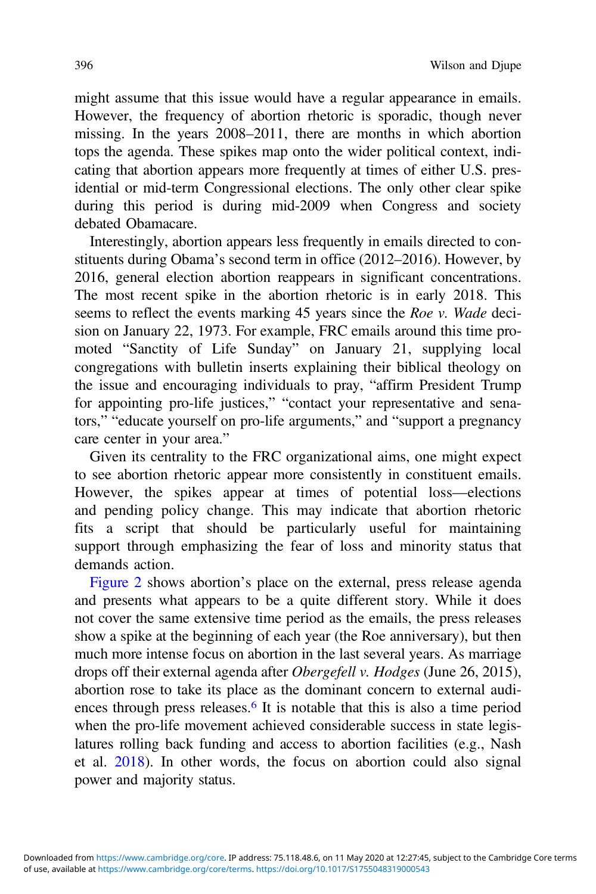might assume that this issue would have a regular appearance in emails. However, the frequency of abortion rhetoric is sporadic, though never missing. In the years 2008–2011, there are months in which abortion tops the agenda. These spikes map onto the wider political context, indicating that abortion appears more frequently at times of either U.S. presidential or mid-term Congressional elections. The only other clear spike during this period is during mid-2009 when Congress and society debated Obamacare.

Interestingly, abortion appears less frequently in emails directed to constituents during Obama's second term in office (2012–2016). However, by 2016, general election abortion reappears in significant concentrations. The most recent spike in the abortion rhetoric is in early 2018. This seems to reflect the events marking 45 years since the Roe v. Wade decision on January 22, 1973. For example, FRC emails around this time promoted "Sanctity of Life Sunday" on January 21, supplying local congregations with bulletin inserts explaining their biblical theology on the issue and encouraging individuals to pray, "affirm President Trump for appointing pro-life justices," "contact your representative and senators," "educate yourself on pro-life arguments," and "support a pregnancy care center in your area."

Given its centrality to the FRC organizational aims, one might expect to see abortion rhetoric appear more consistently in constituent emails. However, the spikes appear at times of potential loss—elections and pending policy change. This may indicate that abortion rhetoric fits a script that should be particularly useful for maintaining support through emphasizing the fear of loss and minority status that demands action.

[Figure 2](#page-10-0) shows abortion's place on the external, press release agenda and presents what appears to be a quite different story. While it does not cover the same extensive time period as the emails, the press releases show a spike at the beginning of each year (the Roe anniversary), but then much more intense focus on abortion in the last several years. As marriage drops off their external agenda after Obergefell v. Hodges (June 26, 2015), abortion rose to take its place as the dominant concern to external audiences through press releases.[6](#page-25-0) It is notable that this is also a time period when the pro-life movement achieved considerable success in state legislatures rolling back funding and access to abortion facilities (e.g., Nash et al. [2018](#page-28-0)). In other words, the focus on abortion could also signal power and majority status.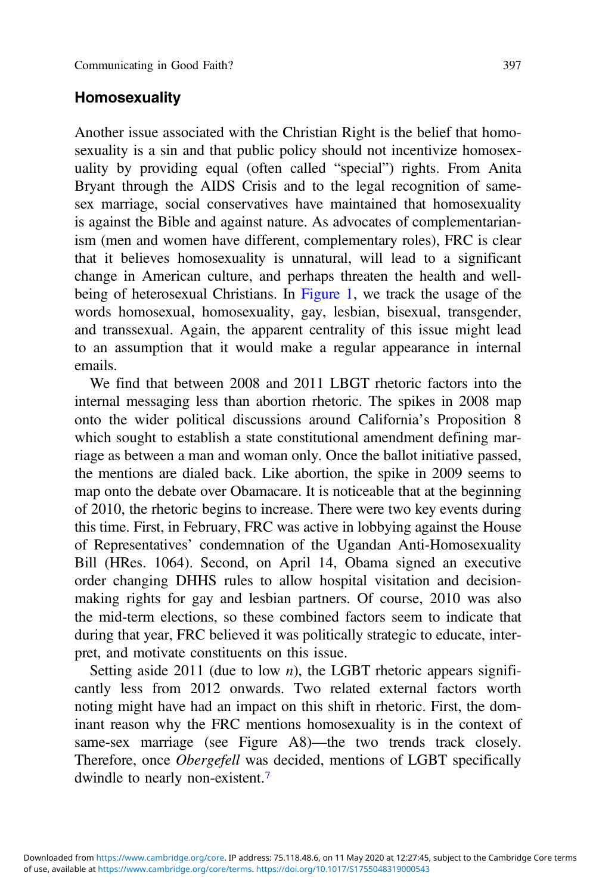# Homosexuality

Another issue associated with the Christian Right is the belief that homosexuality is a sin and that public policy should not incentivize homosexuality by providing equal (often called "special") rights. From Anita Bryant through the AIDS Crisis and to the legal recognition of samesex marriage, social conservatives have maintained that homosexuality is against the Bible and against nature. As advocates of complementarianism (men and women have different, complementary roles), FRC is clear that it believes homosexuality is unnatural, will lead to a significant change in American culture, and perhaps threaten the health and wellbeing of heterosexual Christians. In [Figure 1](#page-10-0), we track the usage of the words homosexual, homosexuality, gay, lesbian, bisexual, transgender, and transsexual. Again, the apparent centrality of this issue might lead to an assumption that it would make a regular appearance in internal emails.

We find that between 2008 and 2011 LBGT rhetoric factors into the internal messaging less than abortion rhetoric. The spikes in 2008 map onto the wider political discussions around California's Proposition 8 which sought to establish a state constitutional amendment defining marriage as between a man and woman only. Once the ballot initiative passed, the mentions are dialed back. Like abortion, the spike in 2009 seems to map onto the debate over Obamacare. It is noticeable that at the beginning of 2010, the rhetoric begins to increase. There were two key events during this time. First, in February, FRC was active in lobbying against the House of Representatives' condemnation of the Ugandan Anti-Homosexuality Bill (HRes. 1064). Second, on April 14, Obama signed an executive order changing DHHS rules to allow hospital visitation and decisionmaking rights for gay and lesbian partners. Of course, 2010 was also the mid-term elections, so these combined factors seem to indicate that during that year, FRC believed it was politically strategic to educate, interpret, and motivate constituents on this issue.

Setting aside 2011 (due to low *n*), the LGBT rhetoric appears significantly less from 2012 onwards. Two related external factors worth noting might have had an impact on this shift in rhetoric. First, the dominant reason why the FRC mentions homosexuality is in the context of same-sex marriage (see Figure A8)—the two trends track closely. Therefore, once Obergefell was decided, mentions of LGBT specifically dwindle to nearly non-existent.[7](#page-25-0)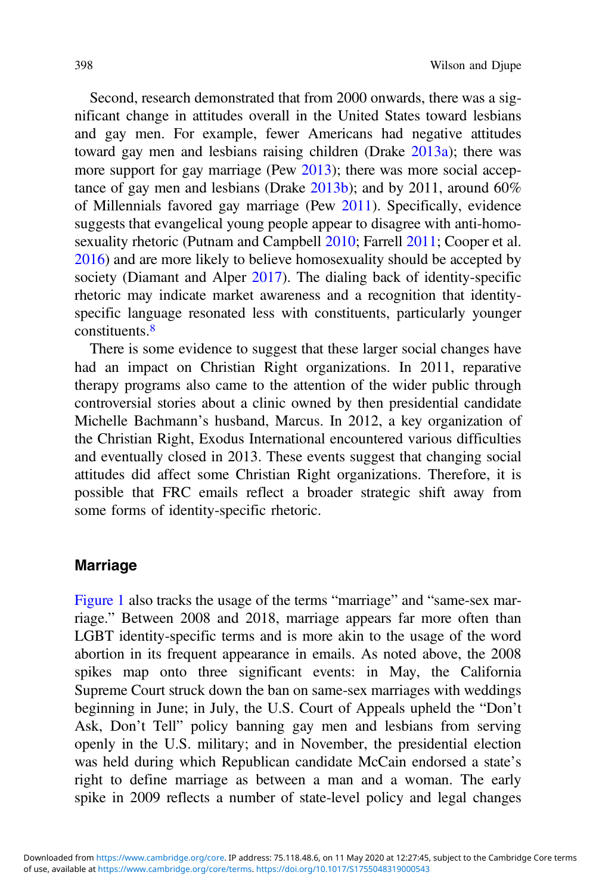Second, research demonstrated that from 2000 onwards, there was a significant change in attitudes overall in the United States toward lesbians and gay men. For example, fewer Americans had negative attitudes toward gay men and lesbians raising children (Drake [2013a\)](#page-26-0); there was more support for gay marriage (Pew [2013](#page-28-0)); there was more social acceptance of gay men and lesbians (Drake  $2013b$ ); and by 2011, around  $60\%$ of Millennials favored gay marriage (Pew [2011\)](#page-28-0). Specifically, evidence suggests that evangelical young people appear to disagree with anti-homo-sexuality rhetoric (Putnam and Campbell [2010;](#page-28-0) Farrell [2011;](#page-26-0) Cooper et al. [2016](#page-26-0)) and are more likely to believe homosexuality should be accepted by society (Diamant and Alper [2017\)](#page-26-0). The dialing back of identity-specific rhetoric may indicate market awareness and a recognition that identityspecific language resonated less with constituents, particularly younger constituents.[8](#page-25-0)

There is some evidence to suggest that these larger social changes have had an impact on Christian Right organizations. In 2011, reparative therapy programs also came to the attention of the wider public through controversial stories about a clinic owned by then presidential candidate Michelle Bachmann's husband, Marcus. In 2012, a key organization of the Christian Right, Exodus International encountered various difficulties and eventually closed in 2013. These events suggest that changing social attitudes did affect some Christian Right organizations. Therefore, it is possible that FRC emails reflect a broader strategic shift away from some forms of identity-specific rhetoric.

#### Marriage

[Figure 1](#page-10-0) also tracks the usage of the terms "marriage" and "same-sex marriage." Between 2008 and 2018, marriage appears far more often than LGBT identity-specific terms and is more akin to the usage of the word abortion in its frequent appearance in emails. As noted above, the 2008 spikes map onto three significant events: in May, the California Supreme Court struck down the ban on same-sex marriages with weddings beginning in June; in July, the U.S. Court of Appeals upheld the "Don't Ask, Don't Tell" policy banning gay men and lesbians from serving openly in the U.S. military; and in November, the presidential election was held during which Republican candidate McCain endorsed a state's right to define marriage as between a man and a woman. The early spike in 2009 reflects a number of state-level policy and legal changes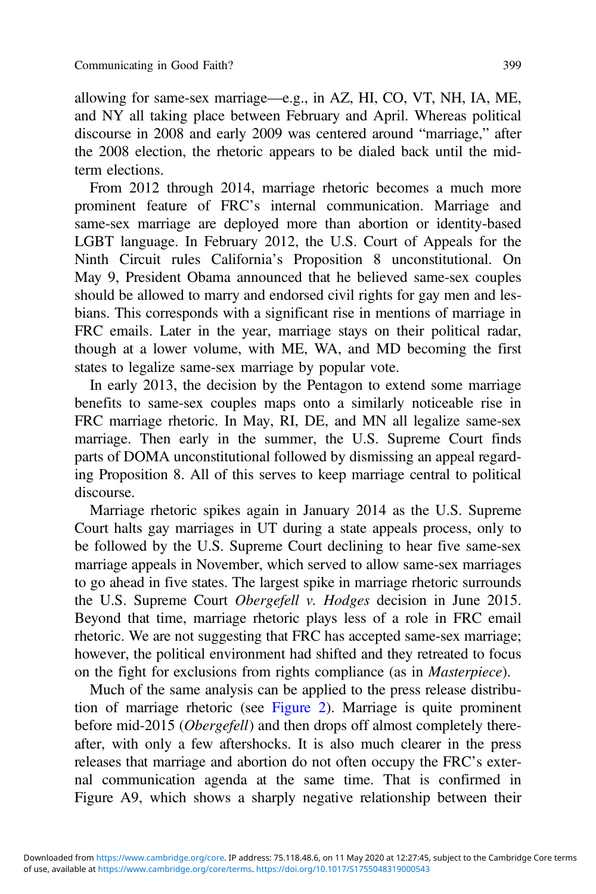allowing for same-sex marriage—e.g., in AZ, HI, CO, VT, NH, IA, ME, and NY all taking place between February and April. Whereas political discourse in 2008 and early 2009 was centered around "marriage," after the 2008 election, the rhetoric appears to be dialed back until the midterm elections.

From 2012 through 2014, marriage rhetoric becomes a much more prominent feature of FRC's internal communication. Marriage and same-sex marriage are deployed more than abortion or identity-based LGBT language. In February 2012, the U.S. Court of Appeals for the Ninth Circuit rules California's Proposition 8 unconstitutional. On May 9, President Obama announced that he believed same-sex couples should be allowed to marry and endorsed civil rights for gay men and lesbians. This corresponds with a significant rise in mentions of marriage in FRC emails. Later in the year, marriage stays on their political radar, though at a lower volume, with ME, WA, and MD becoming the first states to legalize same-sex marriage by popular vote.

In early 2013, the decision by the Pentagon to extend some marriage benefits to same-sex couples maps onto a similarly noticeable rise in FRC marriage rhetoric. In May, RI, DE, and MN all legalize same-sex marriage. Then early in the summer, the U.S. Supreme Court finds parts of DOMA unconstitutional followed by dismissing an appeal regarding Proposition 8. All of this serves to keep marriage central to political discourse.

Marriage rhetoric spikes again in January 2014 as the U.S. Supreme Court halts gay marriages in UT during a state appeals process, only to be followed by the U.S. Supreme Court declining to hear five same-sex marriage appeals in November, which served to allow same-sex marriages to go ahead in five states. The largest spike in marriage rhetoric surrounds the U.S. Supreme Court Obergefell v. Hodges decision in June 2015. Beyond that time, marriage rhetoric plays less of a role in FRC email rhetoric. We are not suggesting that FRC has accepted same-sex marriage; however, the political environment had shifted and they retreated to focus on the fight for exclusions from rights compliance (as in Masterpiece).

Much of the same analysis can be applied to the press release distribution of marriage rhetoric (see [Figure 2](#page-10-0)). Marriage is quite prominent before mid-2015 (Obergefell) and then drops off almost completely thereafter, with only a few aftershocks. It is also much clearer in the press releases that marriage and abortion do not often occupy the FRC's external communication agenda at the same time. That is confirmed in Figure A9, which shows a sharply negative relationship between their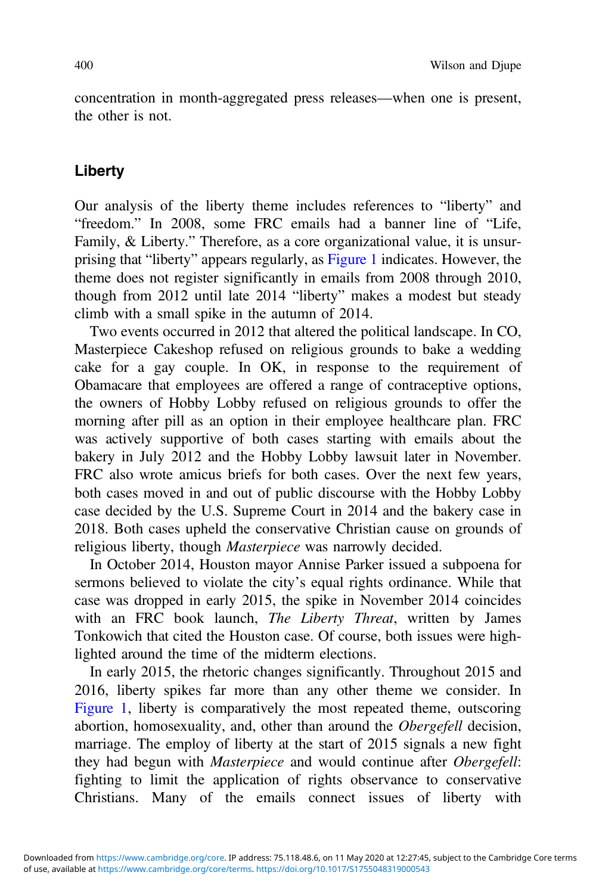concentration in month-aggregated press releases—when one is present, the other is not.

# Liberty

Our analysis of the liberty theme includes references to "liberty" and "freedom." In 2008, some FRC emails had a banner line of "Life, Family, & Liberty." Therefore, as a core organizational value, it is unsurprising that "liberty" appears regularly, as [Figure 1](#page-10-0) indicates. However, the theme does not register significantly in emails from 2008 through 2010, though from 2012 until late 2014 "liberty" makes a modest but steady climb with a small spike in the autumn of 2014.

Two events occurred in 2012 that altered the political landscape. In CO, Masterpiece Cakeshop refused on religious grounds to bake a wedding cake for a gay couple. In OK, in response to the requirement of Obamacare that employees are offered a range of contraceptive options, the owners of Hobby Lobby refused on religious grounds to offer the morning after pill as an option in their employee healthcare plan. FRC was actively supportive of both cases starting with emails about the bakery in July 2012 and the Hobby Lobby lawsuit later in November. FRC also wrote amicus briefs for both cases. Over the next few years, both cases moved in and out of public discourse with the Hobby Lobby case decided by the U.S. Supreme Court in 2014 and the bakery case in 2018. Both cases upheld the conservative Christian cause on grounds of religious liberty, though Masterpiece was narrowly decided.

In October 2014, Houston mayor Annise Parker issued a subpoena for sermons believed to violate the city's equal rights ordinance. While that case was dropped in early 2015, the spike in November 2014 coincides with an FRC book launch, The Liberty Threat, written by James Tonkowich that cited the Houston case. Of course, both issues were highlighted around the time of the midterm elections.

In early 2015, the rhetoric changes significantly. Throughout 2015 and 2016, liberty spikes far more than any other theme we consider. In [Figure 1,](#page-10-0) liberty is comparatively the most repeated theme, outscoring abortion, homosexuality, and, other than around the Obergefell decision, marriage. The employ of liberty at the start of 2015 signals a new fight they had begun with Masterpiece and would continue after Obergefell: fighting to limit the application of rights observance to conservative Christians. Many of the emails connect issues of liberty with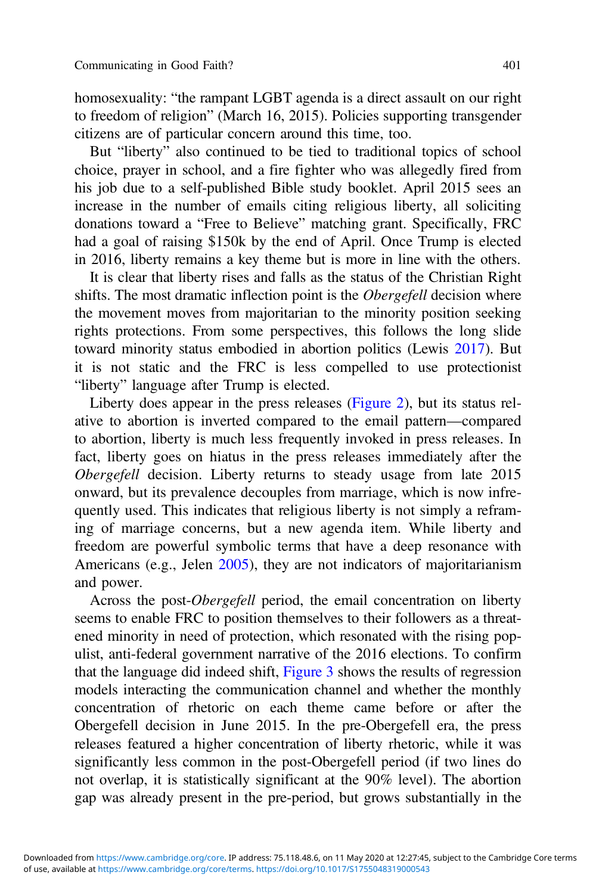homosexuality: "the rampant LGBT agenda is a direct assault on our right to freedom of religion" (March 16, 2015). Policies supporting transgender citizens are of particular concern around this time, too.

But "liberty" also continued to be tied to traditional topics of school choice, prayer in school, and a fire fighter who was allegedly fired from his job due to a self-published Bible study booklet. April 2015 sees an increase in the number of emails citing religious liberty, all soliciting donations toward a "Free to Believe" matching grant. Specifically, FRC had a goal of raising \$150k by the end of April. Once Trump is elected in 2016, liberty remains a key theme but is more in line with the others.

It is clear that liberty rises and falls as the status of the Christian Right shifts. The most dramatic inflection point is the *Obergefell* decision where the movement moves from majoritarian to the minority position seeking rights protections. From some perspectives, this follows the long slide toward minority status embodied in abortion politics (Lewis [2017\)](#page-27-0). But it is not static and the FRC is less compelled to use protectionist "liberty" language after Trump is elected.

Liberty does appear in the press releases [\(Figure 2\)](#page-10-0), but its status relative to abortion is inverted compared to the email pattern—compared to abortion, liberty is much less frequently invoked in press releases. In fact, liberty goes on hiatus in the press releases immediately after the Obergefell decision. Liberty returns to steady usage from late 2015 onward, but its prevalence decouples from marriage, which is now infrequently used. This indicates that religious liberty is not simply a reframing of marriage concerns, but a new agenda item. While liberty and freedom are powerful symbolic terms that have a deep resonance with Americans (e.g., Jelen [2005\)](#page-27-0), they are not indicators of majoritarianism and power.

Across the post-Obergefell period, the email concentration on liberty seems to enable FRC to position themselves to their followers as a threatened minority in need of protection, which resonated with the rising populist, anti-federal government narrative of the 2016 elections. To confirm that the language did indeed shift, [Figure 3](#page-17-0) shows the results of regression models interacting the communication channel and whether the monthly concentration of rhetoric on each theme came before or after the Obergefell decision in June 2015. In the pre-Obergefell era, the press releases featured a higher concentration of liberty rhetoric, while it was significantly less common in the post-Obergefell period (if two lines do not overlap, it is statistically significant at the 90% level). The abortion gap was already present in the pre-period, but grows substantially in the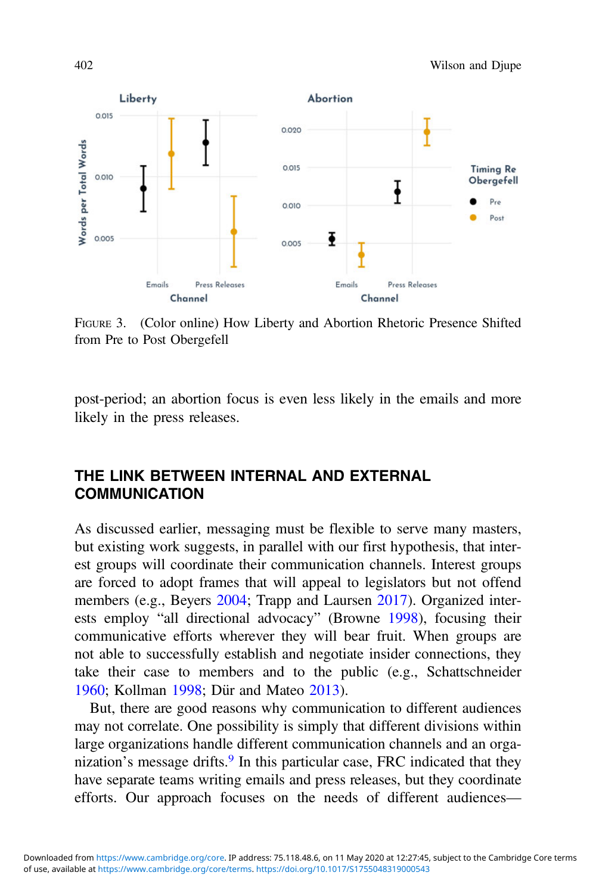<span id="page-17-0"></span>

FIGURE 3. (Color online) How Liberty and Abortion Rhetoric Presence Shifted from Pre to Post Obergefell

post-period; an abortion focus is even less likely in the emails and more likely in the press releases.

# THE LINK BETWEEN INTERNAL AND EXTERNAL **COMMUNICATION**

As discussed earlier, messaging must be flexible to serve many masters, but existing work suggests, in parallel with our first hypothesis, that interest groups will coordinate their communication channels. Interest groups are forced to adopt frames that will appeal to legislators but not offend members (e.g., Beyers [2004](#page-25-0); Trapp and Laursen [2017](#page-29-0)). Organized interests employ "all directional advocacy" (Browne [1998](#page-26-0)), focusing their communicative efforts wherever they will bear fruit. When groups are not able to successfully establish and negotiate insider connections, they take their case to members and to the public (e.g., Schattschneider [1960](#page-29-0); Kollman [1998](#page-27-0); Dür and Mateo [2013](#page-26-0)).

But, there are good reasons why communication to different audiences may not correlate. One possibility is simply that different divisions within large organizations handle different communication channels and an orga-nization's message drifts.<sup>[9](#page-25-0)</sup> In this particular case, FRC indicated that they have separate teams writing emails and press releases, but they coordinate efforts. Our approach focuses on the needs of different audiences—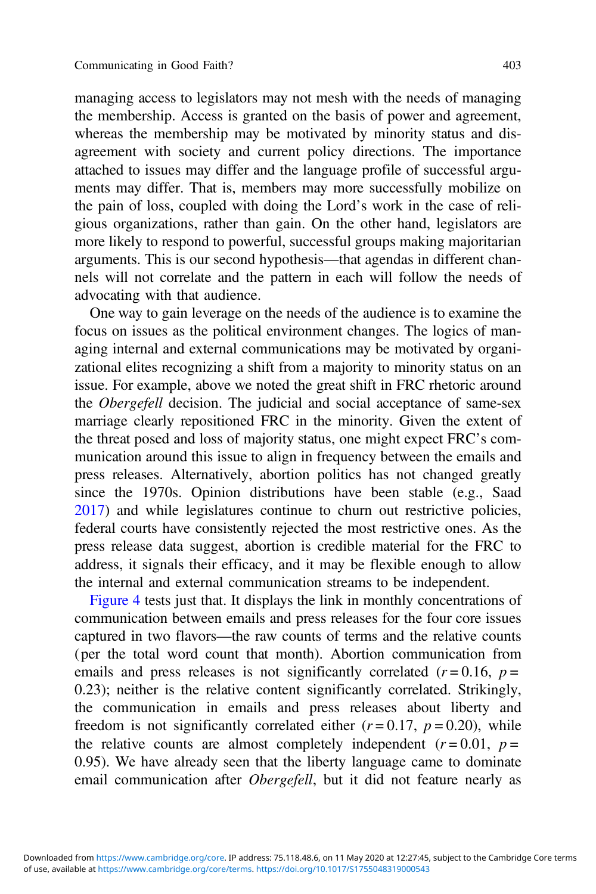managing access to legislators may not mesh with the needs of managing the membership. Access is granted on the basis of power and agreement, whereas the membership may be motivated by minority status and disagreement with society and current policy directions. The importance attached to issues may differ and the language profile of successful arguments may differ. That is, members may more successfully mobilize on the pain of loss, coupled with doing the Lord's work in the case of religious organizations, rather than gain. On the other hand, legislators are more likely to respond to powerful, successful groups making majoritarian arguments. This is our second hypothesis—that agendas in different channels will not correlate and the pattern in each will follow the needs of advocating with that audience.

One way to gain leverage on the needs of the audience is to examine the focus on issues as the political environment changes. The logics of managing internal and external communications may be motivated by organizational elites recognizing a shift from a majority to minority status on an issue. For example, above we noted the great shift in FRC rhetoric around the Obergefell decision. The judicial and social acceptance of same-sex marriage clearly repositioned FRC in the minority. Given the extent of the threat posed and loss of majority status, one might expect FRC's communication around this issue to align in frequency between the emails and press releases. Alternatively, abortion politics has not changed greatly since the 1970s. Opinion distributions have been stable (e.g., Saad [2017](#page-29-0)) and while legislatures continue to churn out restrictive policies, federal courts have consistently rejected the most restrictive ones. As the press release data suggest, abortion is credible material for the FRC to address, it signals their efficacy, and it may be flexible enough to allow the internal and external communication streams to be independent.

[Figure 4](#page-19-0) tests just that. It displays the link in monthly concentrations of communication between emails and press releases for the four core issues captured in two flavors—the raw counts of terms and the relative counts ( per the total word count that month). Abortion communication from emails and press releases is not significantly correlated  $(r=0.16, p=$ 0.23); neither is the relative content significantly correlated. Strikingly, the communication in emails and press releases about liberty and freedom is not significantly correlated either  $(r = 0.17, p = 0.20)$ , while the relative counts are almost completely independent  $(r=0.01, p=$ 0.95). We have already seen that the liberty language came to dominate email communication after Obergefell, but it did not feature nearly as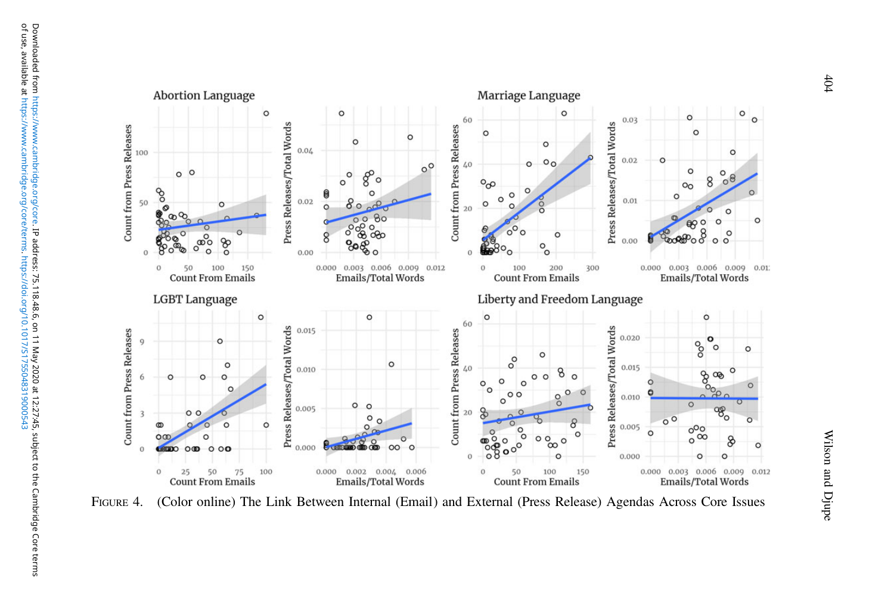<span id="page-19-0"></span>

FIGURE 4. 4. (Color online) The Link Between Internal (Email) and External (Press Release) Agendas Across Core Issues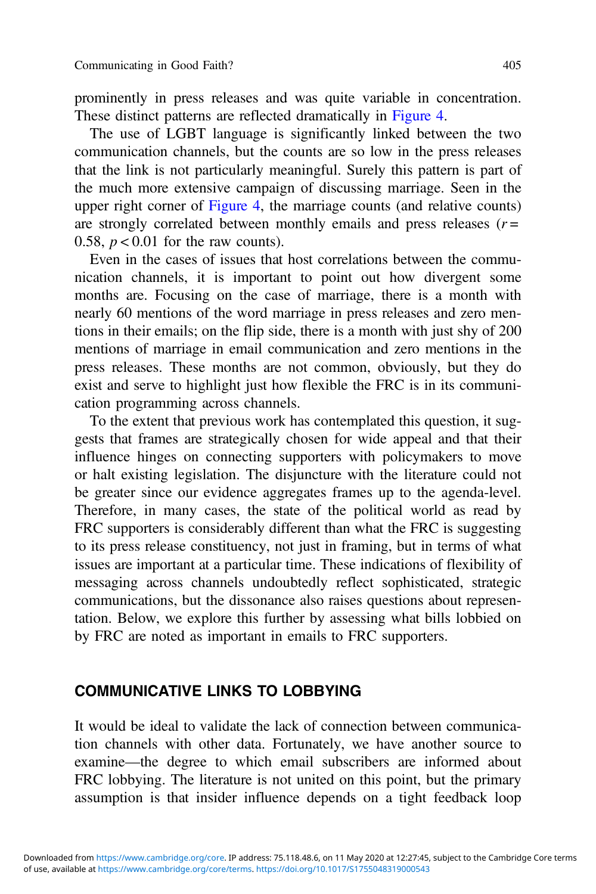prominently in press releases and was quite variable in concentration. These distinct patterns are reflected dramatically in [Figure 4.](#page-19-0)

The use of LGBT language is significantly linked between the two communication channels, but the counts are so low in the press releases that the link is not particularly meaningful. Surely this pattern is part of the much more extensive campaign of discussing marriage. Seen in the upper right corner of [Figure 4,](#page-19-0) the marriage counts (and relative counts) are strongly correlated between monthly emails and press releases  $(r =$ 0.58,  $p < 0.01$  for the raw counts).

Even in the cases of issues that host correlations between the communication channels, it is important to point out how divergent some months are. Focusing on the case of marriage, there is a month with nearly 60 mentions of the word marriage in press releases and zero mentions in their emails; on the flip side, there is a month with just shy of 200 mentions of marriage in email communication and zero mentions in the press releases. These months are not common, obviously, but they do exist and serve to highlight just how flexible the FRC is in its communication programming across channels.

To the extent that previous work has contemplated this question, it suggests that frames are strategically chosen for wide appeal and that their influence hinges on connecting supporters with policymakers to move or halt existing legislation. The disjuncture with the literature could not be greater since our evidence aggregates frames up to the agenda-level. Therefore, in many cases, the state of the political world as read by FRC supporters is considerably different than what the FRC is suggesting to its press release constituency, not just in framing, but in terms of what issues are important at a particular time. These indications of flexibility of messaging across channels undoubtedly reflect sophisticated, strategic communications, but the dissonance also raises questions about representation. Below, we explore this further by assessing what bills lobbied on by FRC are noted as important in emails to FRC supporters.

# COMMUNICATIVE LINKS TO LOBBYING

It would be ideal to validate the lack of connection between communication channels with other data. Fortunately, we have another source to examine—the degree to which email subscribers are informed about FRC lobbying. The literature is not united on this point, but the primary assumption is that insider influence depends on a tight feedback loop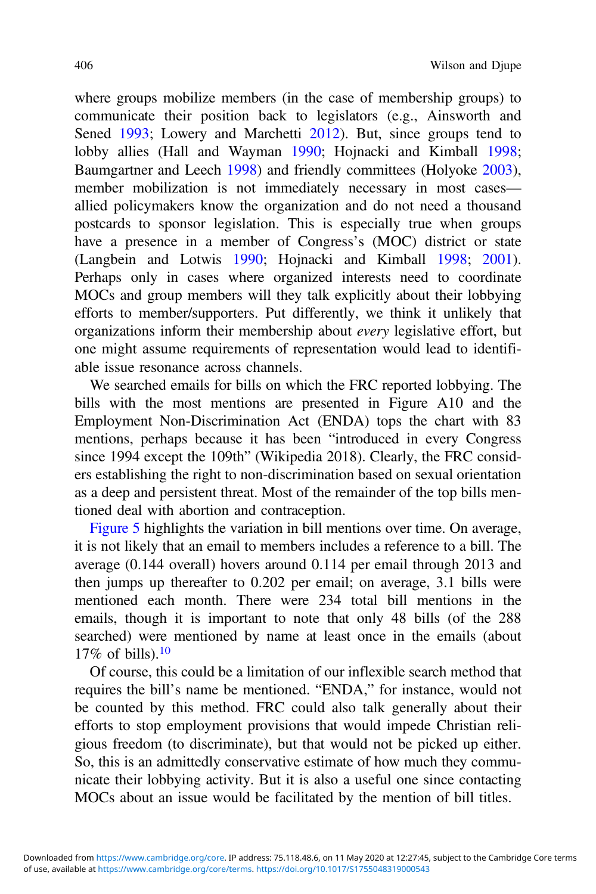where groups mobilize members (in the case of membership groups) to communicate their position back to legislators (e.g., Ainsworth and Sened [1993](#page-25-0); Lowery and Marchetti [2012](#page-28-0)). But, since groups tend to lobby allies (Hall and Wayman [1990;](#page-27-0) Hojnacki and Kimball [1998](#page-27-0); Baumgartner and Leech [1998](#page-25-0)) and friendly committees (Holyoke [2003\)](#page-27-0), member mobilization is not immediately necessary in most cases allied policymakers know the organization and do not need a thousand postcards to sponsor legislation. This is especially true when groups have a presence in a member of Congress's (MOC) district or state (Langbein and Lotwis [1990;](#page-27-0) Hojnacki and Kimball [1998;](#page-27-0) [2001\)](#page-27-0). Perhaps only in cases where organized interests need to coordinate MOCs and group members will they talk explicitly about their lobbying efforts to member/supporters. Put differently, we think it unlikely that organizations inform their membership about every legislative effort, but one might assume requirements of representation would lead to identifiable issue resonance across channels.

We searched emails for bills on which the FRC reported lobbying. The bills with the most mentions are presented in Figure A10 and the Employment Non-Discrimination Act (ENDA) tops the chart with 83 mentions, perhaps because it has been "introduced in every Congress since 1994 except the 109th" (Wikipedia 2018). Clearly, the FRC considers establishing the right to non-discrimination based on sexual orientation as a deep and persistent threat. Most of the remainder of the top bills mentioned deal with abortion and contraception.

[Figure 5](#page-22-0) highlights the variation in bill mentions over time. On average, it is not likely that an email to members includes a reference to a bill. The average (0.144 overall) hovers around 0.114 per email through 2013 and then jumps up thereafter to 0.202 per email; on average, 3.1 bills were mentioned each month. There were 234 total bill mentions in the emails, though it is important to note that only 48 bills (of the 288 searched) were mentioned by name at least once in the emails (about  $17\%$  of bills).<sup>[10](#page-25-0)</sup>

Of course, this could be a limitation of our inflexible search method that requires the bill's name be mentioned. "ENDA," for instance, would not be counted by this method. FRC could also talk generally about their efforts to stop employment provisions that would impede Christian religious freedom (to discriminate), but that would not be picked up either. So, this is an admittedly conservative estimate of how much they communicate their lobbying activity. But it is also a useful one since contacting MOCs about an issue would be facilitated by the mention of bill titles.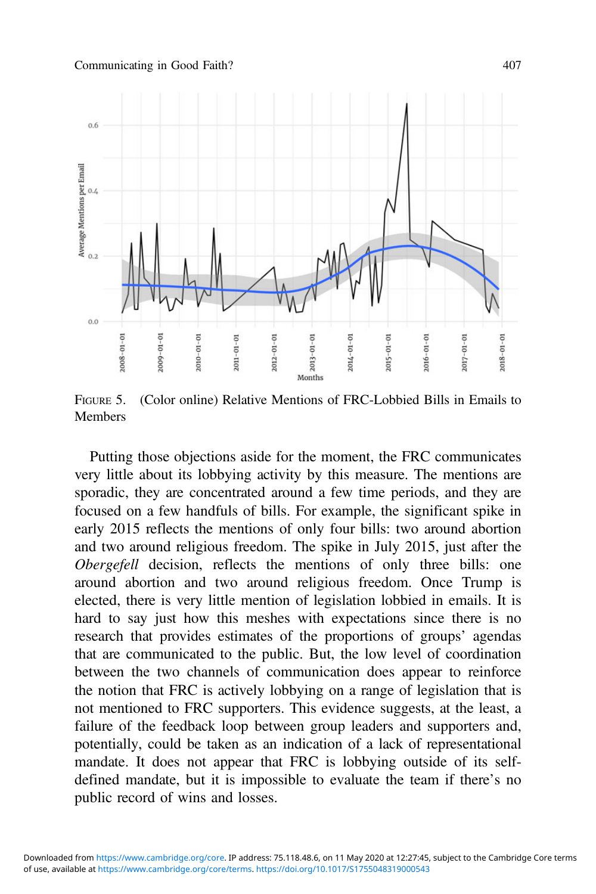#### <span id="page-22-0"></span>Communicating in Good Faith? 407



FIGURE 5. (Color online) Relative Mentions of FRC-Lobbied Bills in Emails to **Members** 

Putting those objections aside for the moment, the FRC communicates very little about its lobbying activity by this measure. The mentions are sporadic, they are concentrated around a few time periods, and they are focused on a few handfuls of bills. For example, the significant spike in early 2015 reflects the mentions of only four bills: two around abortion and two around religious freedom. The spike in July 2015, just after the Obergefell decision, reflects the mentions of only three bills: one around abortion and two around religious freedom. Once Trump is elected, there is very little mention of legislation lobbied in emails. It is hard to say just how this meshes with expectations since there is no research that provides estimates of the proportions of groups' agendas that are communicated to the public. But, the low level of coordination between the two channels of communication does appear to reinforce the notion that FRC is actively lobbying on a range of legislation that is not mentioned to FRC supporters. This evidence suggests, at the least, a failure of the feedback loop between group leaders and supporters and, potentially, could be taken as an indication of a lack of representational mandate. It does not appear that FRC is lobbying outside of its selfdefined mandate, but it is impossible to evaluate the team if there's no public record of wins and losses.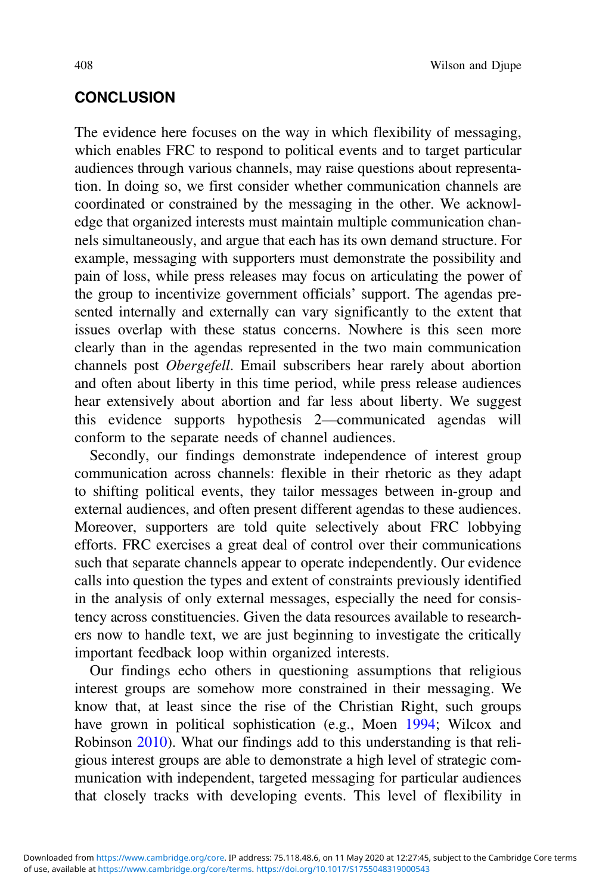# **CONCLUSION**

The evidence here focuses on the way in which flexibility of messaging, which enables FRC to respond to political events and to target particular audiences through various channels, may raise questions about representation. In doing so, we first consider whether communication channels are coordinated or constrained by the messaging in the other. We acknowledge that organized interests must maintain multiple communication channels simultaneously, and argue that each has its own demand structure. For example, messaging with supporters must demonstrate the possibility and pain of loss, while press releases may focus on articulating the power of the group to incentivize government officials' support. The agendas presented internally and externally can vary significantly to the extent that issues overlap with these status concerns. Nowhere is this seen more clearly than in the agendas represented in the two main communication channels post Obergefell. Email subscribers hear rarely about abortion and often about liberty in this time period, while press release audiences hear extensively about abortion and far less about liberty. We suggest this evidence supports hypothesis 2—communicated agendas will conform to the separate needs of channel audiences.

Secondly, our findings demonstrate independence of interest group communication across channels: flexible in their rhetoric as they adapt to shifting political events, they tailor messages between in-group and external audiences, and often present different agendas to these audiences. Moreover, supporters are told quite selectively about FRC lobbying efforts. FRC exercises a great deal of control over their communications such that separate channels appear to operate independently. Our evidence calls into question the types and extent of constraints previously identified in the analysis of only external messages, especially the need for consistency across constituencies. Given the data resources available to researchers now to handle text, we are just beginning to investigate the critically important feedback loop within organized interests.

Our findings echo others in questioning assumptions that religious interest groups are somehow more constrained in their messaging. We know that, at least since the rise of the Christian Right, such groups have grown in political sophistication (e.g., Moen [1994;](#page-28-0) Wilcox and Robinson [2010](#page-29-0)). What our findings add to this understanding is that religious interest groups are able to demonstrate a high level of strategic communication with independent, targeted messaging for particular audiences that closely tracks with developing events. This level of flexibility in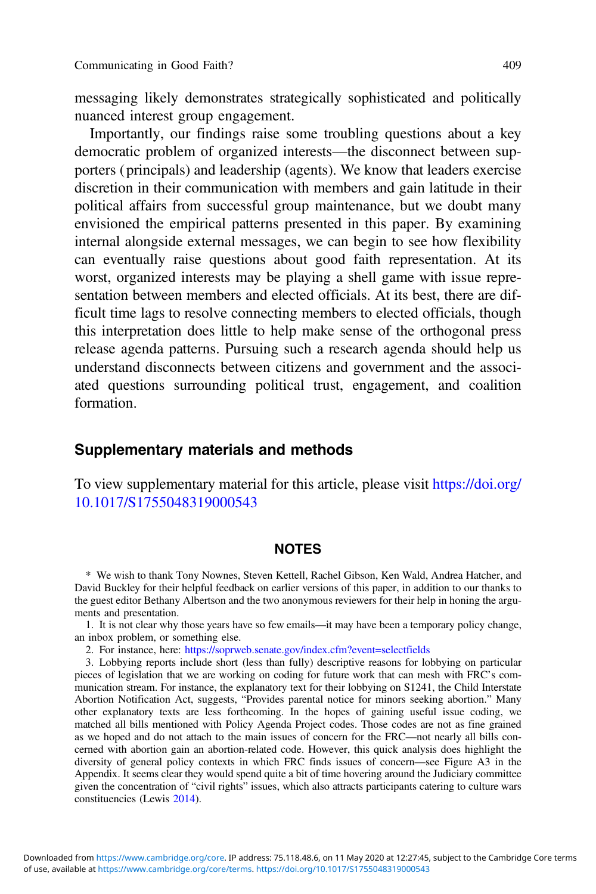<span id="page-24-0"></span>messaging likely demonstrates strategically sophisticated and politically nuanced interest group engagement.

Importantly, our findings raise some troubling questions about a key democratic problem of organized interests—the disconnect between supporters ( principals) and leadership (agents). We know that leaders exercise discretion in their communication with members and gain latitude in their political affairs from successful group maintenance, but we doubt many envisioned the empirical patterns presented in this paper. By examining internal alongside external messages, we can begin to see how flexibility can eventually raise questions about good faith representation. At its worst, organized interests may be playing a shell game with issue representation between members and elected officials. At its best, there are difficult time lags to resolve connecting members to elected officials, though this interpretation does little to help make sense of the orthogonal press release agenda patterns. Pursuing such a research agenda should help us understand disconnects between citizens and government and the associated questions surrounding political trust, engagement, and coalition formation.

## Supplementary materials and methods

To view supplementary material for this article, please visit [https://doi.org/](https://doi.org/10.1017/S1755048319000543) [10.1017/S1755048319000543](https://doi.org/10.1017/S1755048319000543)

#### NOTES

\* We wish to thank Tony Nownes, Steven Kettell, Rachel Gibson, Ken Wald, Andrea Hatcher, and David Buckley for their helpful feedback on earlier versions of this paper, in addition to our thanks to the guest editor Bethany Albertson and the two anonymous reviewers for their help in honing the arguments and presentation.

1. It is not clear why those years have so few emails—it may have been a temporary policy change, an inbox problem, or something else.

2. For instance, here: <https://soprweb.senate.gov/index.cfm?event=selectfields>

3. Lobbying reports include short (less than fully) descriptive reasons for lobbying on particular pieces of legislation that we are working on coding for future work that can mesh with FRC's communication stream. For instance, the explanatory text for their lobbying on S1241, the Child Interstate Abortion Notification Act, suggests, "Provides parental notice for minors seeking abortion." Many other explanatory texts are less forthcoming. In the hopes of gaining useful issue coding, we matched all bills mentioned with Policy Agenda Project codes. Those codes are not as fine grained as we hoped and do not attach to the main issues of concern for the FRC—not nearly all bills concerned with abortion gain an abortion-related code. However, this quick analysis does highlight the diversity of general policy contexts in which FRC finds issues of concern—see Figure A3 in the Appendix. It seems clear they would spend quite a bit of time hovering around the Judiciary committee given the concentration of "civil rights" issues, which also attracts participants catering to culture wars constituencies (Lewis [2014\)](#page-27-0).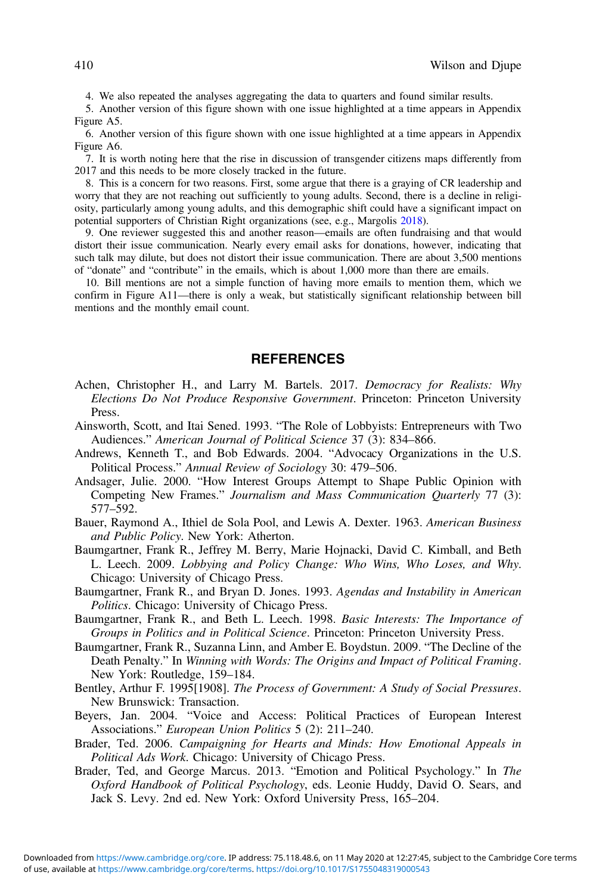<span id="page-25-0"></span>4. We also repeated the analyses aggregating the data to quarters and found similar results.

5. Another version of this figure shown with one issue highlighted at a time appears in Appendix Figure A5.

6. Another version of this figure shown with one issue highlighted at a time appears in Appendix Figure A6.

7. It is worth noting here that the rise in discussion of transgender citizens maps differently from 2017 and this needs to be more closely tracked in the future.

8. This is a concern for two reasons. First, some argue that there is a graying of CR leadership and worry that they are not reaching out sufficiently to young adults. Second, there is a decline in religiosity, particularly among young adults, and this demographic shift could have a significant impact on potential supporters of Christian Right organizations (see, e.g., Margolis [2018](#page-28-0)).

9. One reviewer suggested this and another reason—emails are often fundraising and that would distort their issue communication. Nearly every email asks for donations, however, indicating that such talk may dilute, but does not distort their issue communication. There are about 3,500 mentions of "donate" and "contribute" in the emails, which is about 1,000 more than there are emails.

10. Bill mentions are not a simple function of having more emails to mention them, which we confirm in Figure A11—there is only a weak, but statistically significant relationship between bill mentions and the monthly email count.

#### **REFERENCES**

- Achen, Christopher H., and Larry M. Bartels. 2017. Democracy for Realists: Why Elections Do Not Produce Responsive Government. Princeton: Princeton University Press.
- Ainsworth, Scott, and Itai Sened. 1993. "The Role of Lobbyists: Entrepreneurs with Two Audiences." American Journal of Political Science 37 (3): 834–866.
- Andrews, Kenneth T., and Bob Edwards. 2004. "Advocacy Organizations in the U.S. Political Process." Annual Review of Sociology 30: 479–506.
- Andsager, Julie. 2000. "How Interest Groups Attempt to Shape Public Opinion with Competing New Frames." Journalism and Mass Communication Quarterly 77 (3): 577–592.
- Bauer, Raymond A., Ithiel de Sola Pool, and Lewis A. Dexter. 1963. American Business and Public Policy. New York: Atherton.
- Baumgartner, Frank R., Jeffrey M. Berry, Marie Hojnacki, David C. Kimball, and Beth L. Leech. 2009. Lobbying and Policy Change: Who Wins, Who Loses, and Why. Chicago: University of Chicago Press.
- Baumgartner, Frank R., and Bryan D. Jones. 1993. Agendas and Instability in American Politics. Chicago: University of Chicago Press.
- Baumgartner, Frank R., and Beth L. Leech. 1998. Basic Interests: The Importance of Groups in Politics and in Political Science. Princeton: Princeton University Press.
- Baumgartner, Frank R., Suzanna Linn, and Amber E. Boydstun. 2009. "The Decline of the Death Penalty." In Winning with Words: The Origins and Impact of Political Framing. New York: Routledge, 159–184.
- Bentley, Arthur F. 1995[1908]. The Process of Government: A Study of Social Pressures. New Brunswick: Transaction.
- Beyers, Jan. 2004. "Voice and Access: Political Practices of European Interest Associations." European Union Politics 5 (2): 211–240.
- Brader, Ted. 2006. Campaigning for Hearts and Minds: How Emotional Appeals in Political Ads Work. Chicago: University of Chicago Press.
- Brader, Ted, and George Marcus. 2013. "Emotion and Political Psychology." In The Oxford Handbook of Political Psychology, eds. Leonie Huddy, David O. Sears, and Jack S. Levy. 2nd ed. New York: Oxford University Press, 165–204.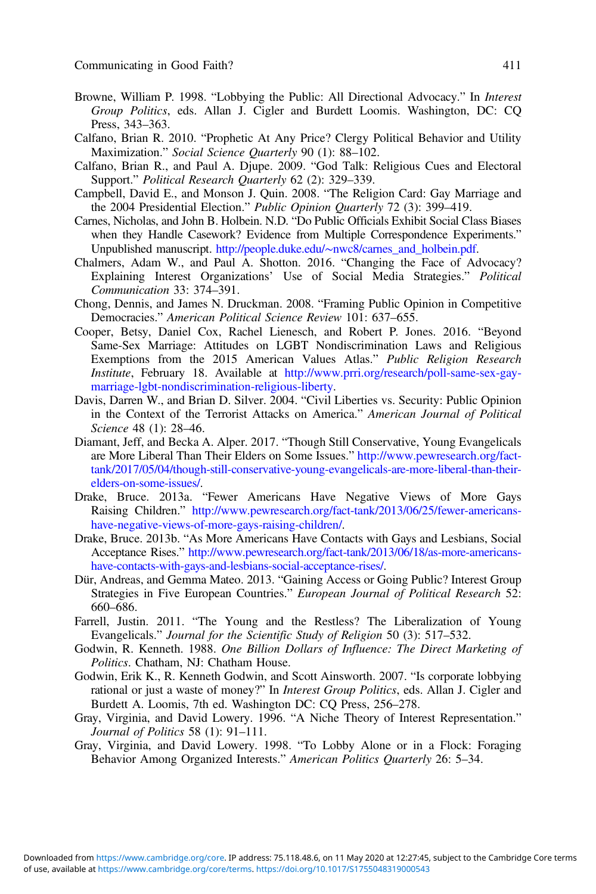- <span id="page-26-0"></span>Browne, William P. 1998. "Lobbying the Public: All Directional Advocacy." In Interest Group Politics, eds. Allan J. Cigler and Burdett Loomis. Washington, DC: CQ Press, 343–363.
- Calfano, Brian R. 2010. "Prophetic At Any Price? Clergy Political Behavior and Utility Maximization." Social Science Quarterly 90 (1): 88-102.
- Calfano, Brian R., and Paul A. Djupe. 2009. "God Talk: Religious Cues and Electoral Support." Political Research Quarterly 62 (2): 329-339.
- Campbell, David E., and Monson J. Quin. 2008. "The Religion Card: Gay Marriage and the 2004 Presidential Election." Public Opinion Quarterly 72 (3): 399–419.
- Carnes, Nicholas, and John B. Holbein. N.D. "Do Public Officials Exhibit Social Class Biases when they Handle Casework? Evidence from Multiple Correspondence Experiments." Unpublished manuscript. http://people.duke.edu/∼[nwc8/carnes\\_and\\_holbein.pdf](http://people.duke.edu/∼nwc8/carnes_and_holbein.pdf).
- Chalmers, Adam W., and Paul A. Shotton. 2016. "Changing the Face of Advocacy? Explaining Interest Organizations' Use of Social Media Strategies." Political Communication 33: 374–391.
- Chong, Dennis, and James N. Druckman. 2008. "Framing Public Opinion in Competitive Democracies." American Political Science Review 101: 637–655.
- Cooper, Betsy, Daniel Cox, Rachel Lienesch, and Robert P. Jones. 2016. "Beyond Same-Sex Marriage: Attitudes on LGBT Nondiscrimination Laws and Religious Exemptions from the 2015 American Values Atlas." Public Religion Research Institute, February 18. Available at [http://www.prri.org/research/poll-same-sex-gay](http://www.prri.org/research/poll-same-sex-gay-marriage-lgbt-nondiscrimination-religious-liberty)[marriage-lgbt-nondiscrimination-religious-liberty.](http://www.prri.org/research/poll-same-sex-gay-marriage-lgbt-nondiscrimination-religious-liberty)
- Davis, Darren W., and Brian D. Silver. 2004. "Civil Liberties vs. Security: Public Opinion in the Context of the Terrorist Attacks on America." American Journal of Political Science 48 (1): 28–46.
- Diamant, Jeff, and Becka A. Alper. 2017. "Though Still Conservative, Young Evangelicals are More Liberal Than Their Elders on Some Issues." [http://www.pewresearch.org/fact](http://www.pewresearch.org/fact-tank/2017/05/04/though-still-conservative-young-evangelicals-are-more-liberal-than-their-elders-on-some-issues/)[tank/2017/05/04/though-still-conservative-young-evangelicals-are-more-liberal-than-their](http://www.pewresearch.org/fact-tank/2017/05/04/though-still-conservative-young-evangelicals-are-more-liberal-than-their-elders-on-some-issues/)[elders-on-some-issues/](http://www.pewresearch.org/fact-tank/2017/05/04/though-still-conservative-young-evangelicals-are-more-liberal-than-their-elders-on-some-issues/).
- Drake, Bruce. 2013a. "Fewer Americans Have Negative Views of More Gays Raising Children." [http://www.pewresearch.org/fact-tank/2013/06/25/fewer-americans](http://www.pewresearch.org/fact-tank/2013/06/25/fewer-americans-have-negative-views-of-more-gays-raising-children/)[have-negative-views-of-more-gays-raising-children/.](http://www.pewresearch.org/fact-tank/2013/06/25/fewer-americans-have-negative-views-of-more-gays-raising-children/)
- Drake, Bruce. 2013b. "As More Americans Have Contacts with Gays and Lesbians, Social Acceptance Rises." [http://www.pewresearch.org/fact-tank/2013/06/18/as-more-americans](http://www.pewresearch.org/fact-tank/2013/06/18/as-more-americans-have-contacts-with-gays-and-lesbians-social-acceptance-rises/)[have-contacts-with-gays-and-lesbians-social-acceptance-rises/.](http://www.pewresearch.org/fact-tank/2013/06/18/as-more-americans-have-contacts-with-gays-and-lesbians-social-acceptance-rises/)
- Dür, Andreas, and Gemma Mateo. 2013. "Gaining Access or Going Public? Interest Group Strategies in Five European Countries." European Journal of Political Research 52: 660–686.
- Farrell, Justin. 2011. "The Young and the Restless? The Liberalization of Young Evangelicals." Journal for the Scientific Study of Religion 50 (3): 517–532.
- Godwin, R. Kenneth. 1988. One Billion Dollars of Influence: The Direct Marketing of Politics. Chatham, NJ: Chatham House.
- Godwin, Erik K., R. Kenneth Godwin, and Scott Ainsworth. 2007. "Is corporate lobbying rational or just a waste of money?" In Interest Group Politics, eds. Allan J. Cigler and Burdett A. Loomis, 7th ed. Washington DC: CQ Press, 256–278.
- Gray, Virginia, and David Lowery. 1996. "A Niche Theory of Interest Representation." Journal of Politics 58 (1): 91–111.
- Gray, Virginia, and David Lowery. 1998. "To Lobby Alone or in a Flock: Foraging Behavior Among Organized Interests." American Politics Quarterly 26: 5–34.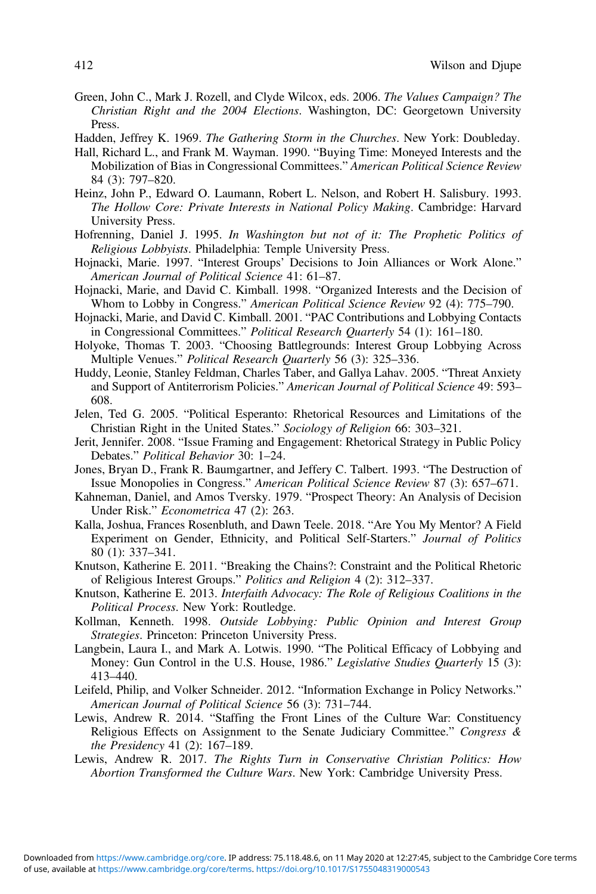- <span id="page-27-0"></span>Green, John C., Mark J. Rozell, and Clyde Wilcox, eds. 2006. The Values Campaign? The Christian Right and the 2004 Elections. Washington, DC: Georgetown University Press.
- Hadden, Jeffrey K. 1969. The Gathering Storm in the Churches. New York: Doubleday.
- Hall, Richard L., and Frank M. Wayman. 1990. "Buying Time: Moneyed Interests and the Mobilization of Bias in Congressional Committees." American Political Science Review 84 (3): 797–820.
- Heinz, John P., Edward O. Laumann, Robert L. Nelson, and Robert H. Salisbury. 1993. The Hollow Core: Private Interests in National Policy Making. Cambridge: Harvard University Press.
- Hofrenning, Daniel J. 1995. In Washington but not of it: The Prophetic Politics of Religious Lobbyists. Philadelphia: Temple University Press.
- Hojnacki, Marie. 1997. "Interest Groups' Decisions to Join Alliances or Work Alone." American Journal of Political Science 41: 61–87.
- Hojnacki, Marie, and David C. Kimball. 1998. "Organized Interests and the Decision of Whom to Lobby in Congress." American Political Science Review 92 (4): 775–790.
- Hojnacki, Marie, and David C. Kimball. 2001. "PAC Contributions and Lobbying Contacts in Congressional Committees." Political Research Quarterly 54 (1): 161-180.
- Holyoke, Thomas T. 2003. "Choosing Battlegrounds: Interest Group Lobbying Across Multiple Venues." Political Research Quarterly 56 (3): 325–336.
- Huddy, Leonie, Stanley Feldman, Charles Taber, and Gallya Lahav. 2005. "Threat Anxiety and Support of Antiterrorism Policies." American Journal of Political Science 49: 593– 608.
- Jelen, Ted G. 2005. "Political Esperanto: Rhetorical Resources and Limitations of the Christian Right in the United States." Sociology of Religion 66: 303–321.
- Jerit, Jennifer. 2008. "Issue Framing and Engagement: Rhetorical Strategy in Public Policy Debates." Political Behavior 30: 1–24.
- Jones, Bryan D., Frank R. Baumgartner, and Jeffery C. Talbert. 1993. "The Destruction of Issue Monopolies in Congress." American Political Science Review 87 (3): 657–671.
- Kahneman, Daniel, and Amos Tversky. 1979. "Prospect Theory: An Analysis of Decision Under Risk." Econometrica 47 (2): 263.
- Kalla, Joshua, Frances Rosenbluth, and Dawn Teele. 2018. "Are You My Mentor? A Field Experiment on Gender, Ethnicity, and Political Self-Starters." Journal of Politics 80 (1): 337–341.
- Knutson, Katherine E. 2011. "Breaking the Chains?: Constraint and the Political Rhetoric of Religious Interest Groups." Politics and Religion 4 (2): 312–337.
- Knutson, Katherine E. 2013. Interfaith Advocacy: The Role of Religious Coalitions in the Political Process. New York: Routledge.
- Kollman, Kenneth. 1998. Outside Lobbying: Public Opinion and Interest Group Strategies. Princeton: Princeton University Press.
- Langbein, Laura I., and Mark A. Lotwis. 1990. "The Political Efficacy of Lobbying and Money: Gun Control in the U.S. House, 1986." Legislative Studies Ouarterly 15 (3): 413–440.
- Leifeld, Philip, and Volker Schneider. 2012. "Information Exchange in Policy Networks." American Journal of Political Science 56 (3): 731–744.
- Lewis, Andrew R. 2014. "Staffing the Front Lines of the Culture War: Constituency Religious Effects on Assignment to the Senate Judiciary Committee." Congress  $\&$ the Presidency 41 (2): 167–189.
- Lewis, Andrew R. 2017. The Rights Turn in Conservative Christian Politics: How Abortion Transformed the Culture Wars. New York: Cambridge University Press.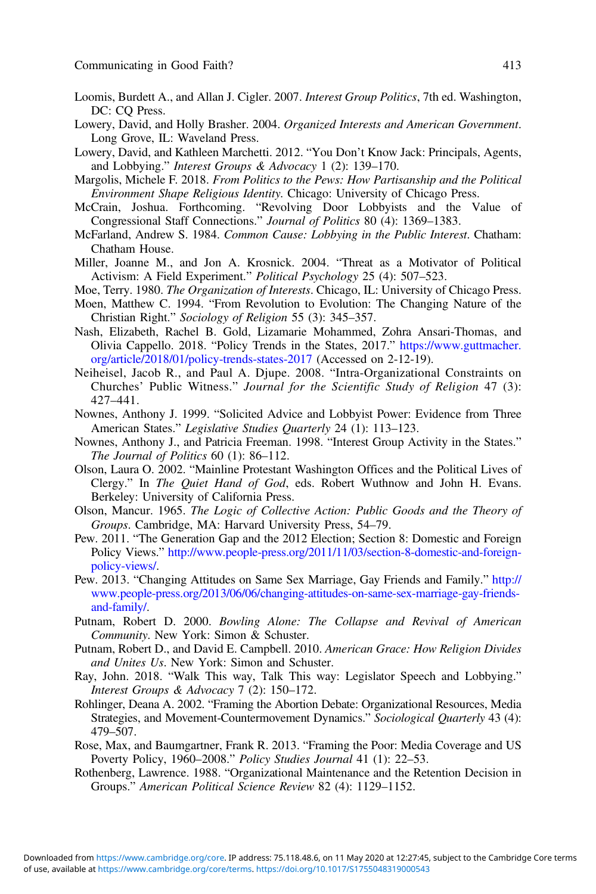- <span id="page-28-0"></span>Loomis, Burdett A., and Allan J. Cigler. 2007. Interest Group Politics, 7th ed. Washington, DC: CQ Press.
- Lowery, David, and Holly Brasher. 2004. Organized Interests and American Government. Long Grove, IL: Waveland Press.
- Lowery, David, and Kathleen Marchetti. 2012. "You Don't Know Jack: Principals, Agents, and Lobbying." Interest Groups & Advocacy 1 (2): 139–170.
- Margolis, Michele F. 2018. From Politics to the Pews: How Partisanship and the Political Environment Shape Religious Identity. Chicago: University of Chicago Press.
- McCrain, Joshua. Forthcoming. "Revolving Door Lobbyists and the Value of Congressional Staff Connections." Journal of Politics 80 (4): 1369–1383.
- McFarland, Andrew S. 1984. Common Cause: Lobbying in the Public Interest. Chatham: Chatham House.
- Miller, Joanne M., and Jon A. Krosnick. 2004. "Threat as a Motivator of Political Activism: A Field Experiment." Political Psychology 25 (4): 507-523.
- Moe, Terry. 1980. The Organization of Interests. Chicago, IL: University of Chicago Press.
- Moen, Matthew C. 1994. "From Revolution to Evolution: The Changing Nature of the Christian Right." Sociology of Religion 55 (3): 345–357.
- Nash, Elizabeth, Rachel B. Gold, Lizamarie Mohammed, Zohra Ansari-Thomas, and Olivia Cappello. 2018. "Policy Trends in the States, 2017." [https://www.guttmacher.](https://www.guttmacher.org/article/2018/01/policy-trends-states-2017) [org/article/2018/01/policy-trends-states-2017](https://www.guttmacher.org/article/2018/01/policy-trends-states-2017) (Accessed on 2-12-19).
- Neiheisel, Jacob R., and Paul A. Djupe. 2008. "Intra-Organizational Constraints on Churches' Public Witness." Journal for the Scientific Study of Religion 47 (3): 427–441.
- Nownes, Anthony J. 1999. "Solicited Advice and Lobbyist Power: Evidence from Three American States." Legislative Studies Quarterly 24 (1): 113-123.
- Nownes, Anthony J., and Patricia Freeman. 1998. "Interest Group Activity in the States." The Journal of Politics 60 (1): 86–112.
- Olson, Laura O. 2002. "Mainline Protestant Washington Offices and the Political Lives of Clergy." In The Quiet Hand of God, eds. Robert Wuthnow and John H. Evans. Berkeley: University of California Press.
- Olson, Mancur. 1965. The Logic of Collective Action: Public Goods and the Theory of Groups. Cambridge, MA: Harvard University Press, 54–79.
- Pew. 2011. "The Generation Gap and the 2012 Election; Section 8: Domestic and Foreign Policy Views." [http://www.people-press.org/2011/11/03/section-8-domestic-and-foreign](http://www.people-press.org/2011/11/03/section-8-domestic-and-foreign-policy-views/)[policy-views/](http://www.people-press.org/2011/11/03/section-8-domestic-and-foreign-policy-views/).
- Pew. 2013. "Changing Attitudes on Same Sex Marriage, Gay Friends and Family." [http://](http://www.people-press.org/2013/06/06/changing-attitudes-on-same-sex-marriage-gay-friends-and-family/) [www.people-press.org/2013/06/06/changing-attitudes-on-same-sex-marriage-gay-friends](http://www.people-press.org/2013/06/06/changing-attitudes-on-same-sex-marriage-gay-friends-and-family/)[and-family/](http://www.people-press.org/2013/06/06/changing-attitudes-on-same-sex-marriage-gay-friends-and-family/).
- Putnam, Robert D. 2000. Bowling Alone: The Collapse and Revival of American Community. New York: Simon & Schuster.
- Putnam, Robert D., and David E. Campbell. 2010. American Grace: How Religion Divides and Unites Us. New York: Simon and Schuster.
- Ray, John. 2018. "Walk This way, Talk This way: Legislator Speech and Lobbying." Interest Groups & Advocacy 7 (2): 150–172.
- Rohlinger, Deana A. 2002. "Framing the Abortion Debate: Organizational Resources, Media Strategies, and Movement-Countermovement Dynamics." Sociological Quarterly 43 (4): 479–507.
- Rose, Max, and Baumgartner, Frank R. 2013. "Framing the Poor: Media Coverage and US Poverty Policy, 1960–2008." Policy Studies Journal 41 (1): 22–53.
- Rothenberg, Lawrence. 1988. "Organizational Maintenance and the Retention Decision in Groups." American Political Science Review 82 (4): 1129–1152.